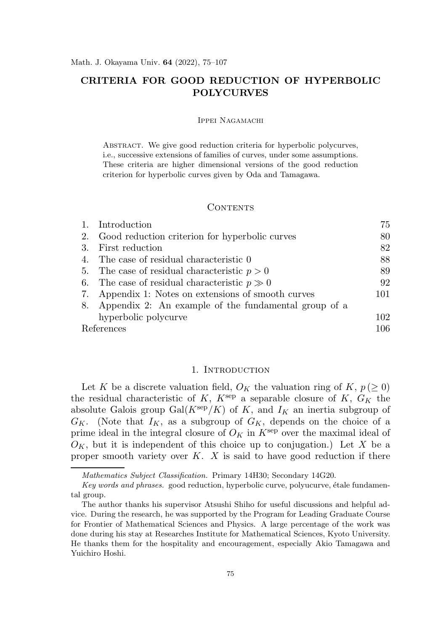# CRITERIA FOR GOOD REDUCTION OF HYPERBOLIC POLYCURVES

### Ippei Nagamachi

ABSTRACT. We give good reduction criteria for hyperbolic polycurves, i.e., successive extensions of families of curves, under some assumptions. These criteria are higher dimensional versions of the good reduction criterion for hyperbolic curves given by Oda and Tamagawa.

#### CONTENTS

|            | 1. Introduction                                         | 75  |
|------------|---------------------------------------------------------|-----|
|            | 2. Good reduction criterion for hyperbolic curves       | 80  |
| 3.         | First reduction                                         | 82  |
| 4.         | The case of residual characteristic 0                   | 88  |
|            | 5. The case of residual characteristic $p > 0$          | 89  |
|            | 6. The case of residual characteristic $p \gg 0$        | 92  |
|            | 7. Appendix 1: Notes on extensions of smooth curves     | 101 |
|            | 8. Appendix 2: An example of the fundamental group of a |     |
|            | hyperbolic polycurve                                    | 102 |
| References |                                                         | 106 |

# 1. INTRODUCTION

Let K be a discrete valuation field,  $O_K$  the valuation ring of K,  $p (\geq 0)$ the residual characteristic of K,  $K^{\text{sep}}$  a separable closure of K,  $G_K$  the absolute Galois group  $Gal(K^{\text{sep}}/K)$  of K, and  $I_K$  an inertia subgroup of  $G_K$ . (Note that  $I_K$ , as a subgroup of  $G_K$ , depends on the choice of a prime ideal in the integral closure of  $O_K$  in  $K^{\text{sep}}$  over the maximal ideal of  $O_K$ , but it is independent of this choice up to conjugation.) Let X be a proper smooth variety over  $K$ .  $X$  is said to have good reduction if there

Mathematics Subject Classification. Primary 14H30; Secondary 14G20.

Key words and phrases. good reduction, hyperbolic curve, polyucurve, étale fundamental group.

The author thanks his supervisor Atsushi Shiho for useful discussions and helpful advice. During the research, he was supported by the Program for Leading Graduate Course for Frontier of Mathematical Sciences and Physics. A large percentage of the work was done during his stay at Researches Institute for Mathematical Sciences, Kyoto University. He thanks them for the hospitality and encouragement, especially Akio Tamagawa and Yuichiro Hoshi.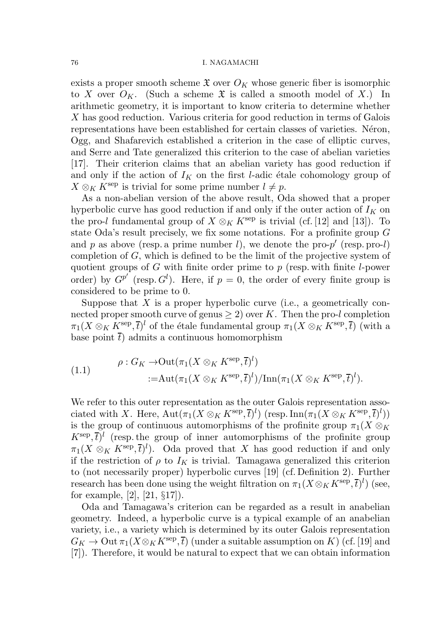exists a proper smooth scheme  $\mathfrak X$  over  $O_K$  whose generic fiber is isomorphic to X over  $O_K$ . (Such a scheme X is called a smooth model of X.) In arithmetic geometry, it is important to know criteria to determine whether X has good reduction. Various criteria for good reduction in terms of Galois representations have been established for certain classes of varieties. Neron, Ogg, and Shafarevich established a criterion in the case of elliptic curves, and Serre and Tate generalized this criterion to the case of abelian varieties [17]. Their criterion claims that an abelian variety has good reduction if and only if the action of  $I_K$  on the first l-adic étale cohomology group of  $X \otimes_K K^{\text{sep}}$  is trivial for some prime number  $l \neq p$ .

As a non-abelian version of the above result, Oda showed that a proper hyperbolic curve has good reduction if and only if the outer action of  $I_K$  on the pro-l fundamental group of  $X \otimes_K K^{\rm sep}$  is trivial (cf. [12] and [13]). To state Oda's result precisely, we fix some notations. For a profinite group G and p as above (resp. a prime number l), we denote the pro- $p'$  (resp. pro-l) completion of G, which is defined to be the limit of the projective system of quotient groups of G with finite order prime to  $p$  (resp. with finite l-power order) by  $G^{p'}$  (resp.  $G^l$ ). Here, if  $p = 0$ , the order of every finite group is considered to be prime to 0.

Suppose that  $X$  is a proper hyperbolic curve (i.e., a geometrically connected proper smooth curve of genus  $\geq 2$ ) over K. Then the pro-l completion  $\pi_1(X \otimes_K K^{\text{sep}}, \overline{t})^l$  of the étale fundamental group  $\pi_1(X \otimes_K K^{\text{sep}}, \overline{t})$  (with a base point  $\bar{t}$ ) admits a continuous homomorphism

(1.1) 
$$
\rho: G_K \to \text{Out}(\pi_1(X \otimes_K K^{\text{sep}}, \overline{t})^l) := \text{Aut}(\pi_1(X \otimes_K K^{\text{sep}}, \overline{t})^l) / \text{Inn}(\pi_1(X \otimes_K K^{\text{sep}}, \overline{t})^l).
$$

We refer to this outer representation as the outer Galois representation associated with X. Here,  $\text{Aut}(\pi_1(X\otimes_K K^{\text{sep}}, \overline{t})^l)$  (resp.  $\text{Inn}(\pi_1(X\otimes_K K^{\text{sep}}, \overline{t})^l))$ is the group of continuous automorphisms of the profinite group  $\pi_1(X \otimes_K$  $K^{\text{sep}}, \overline{t}$ <sup>l</sup> (resp. the group of inner automorphisms of the profinite group  $\pi_1(X \otimes_K K^{\text{sep}}, \overline{t})^l$ ). Oda proved that X has good reduction if and only if the restriction of  $\rho$  to  $I_K$  is trivial. Tamagawa generalized this criterion to (not necessarily proper) hyperbolic curves [19] (cf. Definition 2). Further research has been done using the weight filtration on  $\pi_1(X \otimes_K K^{\text{sep}}, \overline{t})^l$ ) (see, for example, [2], [21, §17]).

Oda and Tamagawa's criterion can be regarded as a result in anabelian geometry. Indeed, a hyperbolic curve is a typical example of an anabelian variety, i.e., a variety which is determined by its outer Galois representation  $G_K \to \mathrm{Out}\,\pi_1(X\otimes_K K^{\mathrm{sep}},\overline{t})$  (under a suitable assumption on K) (cf. [19] and [7]). Therefore, it would be natural to expect that we can obtain information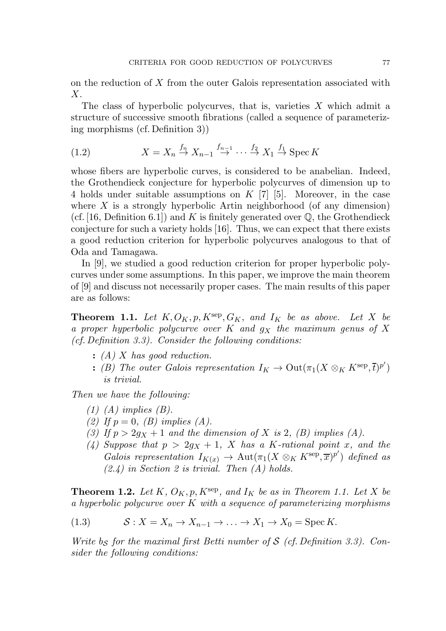on the reduction of X from the outer Galois representation associated with  $X$ .

The class of hyperbolic polycurves, that is, varieties  $X$  which admit a structure of successive smooth fibrations (called a sequence of parameterizing morphisms (cf. Definition 3))

(1.2) 
$$
X = X_n \stackrel{f_n}{\rightarrow} X_{n-1} \stackrel{f_{n-1}}{\rightarrow} \cdots \stackrel{f_2}{\rightarrow} X_1 \stackrel{f_1}{\rightarrow} \text{Spec } K
$$

whose fibers are hyperbolic curves, is considered to be anabelian. Indeed, the Grothendieck conjecture for hyperbolic polycurves of dimension up to 4 holds under suitable assumptions on K [7] [5]. Moreover, in the case where  $X$  is a strongly hyperbolic Artin neighborhood (of any dimension) (cf. [16, Definition 6.1]) and K is finitely generated over  $\mathbb{Q}$ , the Grothendieck conjecture for such a variety holds [16]. Thus, we can expect that there exists a good reduction criterion for hyperbolic polycurves analogous to that of Oda and Tamagawa.

In [9], we studied a good reduction criterion for proper hyperbolic polycurves under some assumptions. In this paper, we improve the main theorem of [9] and discuss not necessarily proper cases. The main results of this paper are as follows:

**Theorem 1.1.** Let  $K, O_K, p, K^{\text{sep}}, G_K,$  and  $I_K$  be as above. Let X be a proper hyperbolic polycurve over  $K$  and  $g_X$  the maximum genus of  $X$ (cf. Definition 3.3). Consider the following conditions:

- $: (A) X has good reduction.$
- : (B) The outer Galois representation  $I_K \to \mathrm{Out}(\pi_1(X \otimes_K K^{\mathrm{sep}}, \overline{t})^{p'})$ is trivial.

Then we have the following:

- $(1)$   $(A)$  implies  $(B)$ .
- (2) If  $p = 0$ , (B) implies (A).
- (3) If  $p > 2g_X + 1$  and the dimension of X is 2, (B) implies (A).
- (4) Suppose that  $p > 2g_X + 1$ , X has a K-rational point x, and the Galois representation  $I_{K(x)} \to \text{Aut}(\pi_1(X \otimes_K K^{\text{sep}}, \overline{x})^{p'})$  defined as  $(2.4)$  in Section 2 is trivial. Then  $(A)$  holds.

**Theorem 1.2.** Let K,  $O_K$ ,  $p$ ,  $K^{\text{sep}}$ , and  $I_K$  be as in Theorem 1.1. Let X be a hyperbolic polycurve over  $K$  with a sequence of parameterizing morphisms

(1.3) 
$$
\mathcal{S}: X = X_n \to X_{n-1} \to \dots \to X_1 \to X_0 = \text{Spec } K.
$$

Write bs for the maximal first Betti number of  $S$  (cf. Definition 3.3). Consider the following conditions: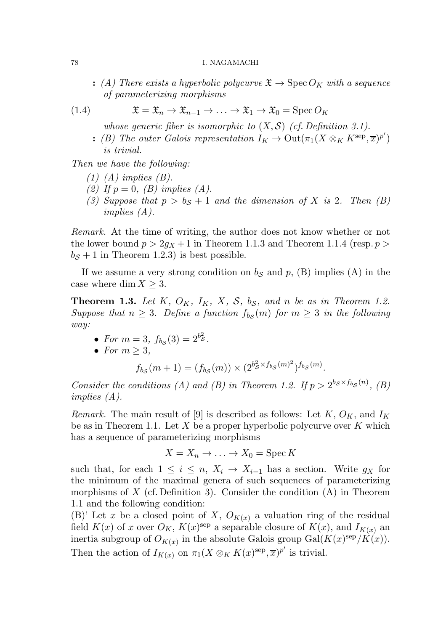: (A) There exists a hyperbolic polycurve  $\mathfrak{X} \to \operatorname{Spec} O_K$  with a sequence of parameterizing morphisms

(1.4) 
$$
\mathfrak{X} = \mathfrak{X}_n \to \mathfrak{X}_{n-1} \to \dots \to \mathfrak{X}_1 \to \mathfrak{X}_0 = \operatorname{Spec} O_K
$$

whose generic fiber is isomorphic to  $(X, S)$  (cf. Definition 3.1).

: (B) The outer Galois representation  $I_K \to \text{Out}(\pi_1(X \otimes_K K^{\text{sep}}, \overline{x})^{p'})$ is trivial.

Then we have the following:

- $(1)$   $(A)$  implies  $(B)$ .
- (2) If  $p = 0$ , (B) implies (A).
- (3) Suppose that  $p > b_S + 1$  and the dimension of X is 2. Then (B) implies (A).

Remark. At the time of writing, the author does not know whether or not the lower bound  $p > 2g_X + 1$  in Theorem 1.1.3 and Theorem 1.1.4 (resp.  $p >$  $b<sub>S</sub> + 1$  in Theorem 1.2.3) is best possible.

If we assume a very strong condition on  $b<sub>S</sub>$  and  $p$ , (B) implies (A) in the case where dim  $X \geq 3$ .

**Theorem 1.3.** Let K,  $O_K$ ,  $I_K$ , X, S, bs, and n be as in Theorem 1.2. Suppose that  $n \geq 3$ . Define a function  $f_{b,s}(m)$  for  $m \geq 3$  in the following way:

- For  $m = 3$ ,  $f_{bS}(3) = 2^{bS}$ .
- For  $m > 3$ ,

$$
f_{b_{\mathcal{S}}}(m+1) = (f_{b_{\mathcal{S}}}(m)) \times (2^{b_{\mathcal{S}}^2 \times f_{b_{\mathcal{S}}}(m)^2})^{f_{b_{\mathcal{S}}}(m)}.
$$

Consider the conditions (A) and (B) in Theorem 1.2. If  $p > 2^{b s \times f_{b}}(n)$ , (B) implies (A).

Remark. The main result of [9] is described as follows: Let  $K, O<sub>K</sub>$ , and  $I<sub>K</sub>$ be as in Theorem 1.1. Let X be a proper hyperbolic polycurve over K which has a sequence of parameterizing morphisms

$$
X = X_n \to \dots \to X_0 = \operatorname{Spec} K
$$

such that, for each  $1 \leq i \leq n$ ,  $X_i \to X_{i-1}$  has a section. Write  $g_X$  for the minimum of the maximal genera of such sequences of parameterizing morphisms of  $X$  (cf. Definition 3). Consider the condition  $(A)$  in Theorem 1.1 and the following condition:

(B)' Let x be a closed point of X,  $O_{K(x)}$  a valuation ring of the residual field  $K(x)$  of x over  $O_K$ ,  $K(x)$ <sup>sep</sup> a separable closure of  $K(x)$ , and  $I_{K(x)}$  an inertia subgroup of  $O_{K(x)}$  in the absolute Galois group  $Gal(K(x)^{\text{sep}}/K(x)).$ Then the action of  $I_{K(x)}$  on  $\pi_1(X \otimes_K K(x)^{\text{sep}}, \overline{x})^{p'}$  is trivial.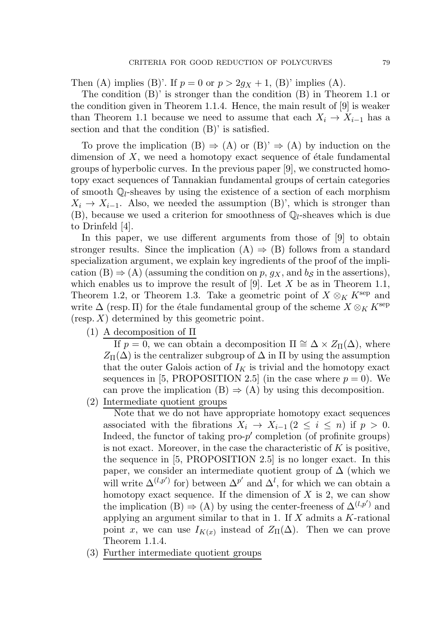Then (A) implies (B)'. If  $p = 0$  or  $p > 2g_X + 1$ , (B)' implies (A).

The condition (B)' is stronger than the condition (B) in Theorem 1.1 or the condition given in Theorem 1.1.4. Hence, the main result of [9] is weaker than Theorem 1.1 because we need to assume that each  $X_i \to X_{i-1}$  has a section and that the condition (B)' is satisfied.

To prove the implication  $(B) \Rightarrow (A)$  or  $(B)' \Rightarrow (A)$  by induction on the dimension of  $X$ , we need a homotopy exact sequence of étale fundamental groups of hyperbolic curves. In the previous paper [9], we constructed homotopy exact sequences of Tannakian fundamental groups of certain categories of smooth  $\mathbb{Q}_l$ -sheaves by using the existence of a section of each morphism  $X_i \to X_{i-1}$ . Also, we needed the assumption (B)', which is stronger than  $(B)$ , because we used a criterion for smoothness of  $\mathbb{Q}_l$ -sheaves which is due to Drinfeld [4].

In this paper, we use different arguments from those of [9] to obtain stronger results. Since the implication  $(A) \Rightarrow (B)$  follows from a standard specialization argument, we explain key ingredients of the proof of the implication (B)  $\Rightarrow$  (A) (assuming the condition on p, g<sub>X</sub>, and b<sub>S</sub> in the assertions), which enables us to improve the result of  $[9]$ . Let X be as in Theorem 1.1, Theorem 1.2, or Theorem 1.3. Take a geometric point of  $X \otimes_K K^{\text{sep}}$  and write  $\Delta$  (resp. II) for the étale fundamental group of the scheme  $X \otimes_K K^{\rm sep}$  $(\text{resp. } X)$  determined by this geometric point.

(1) A decomposition of Π

If  $p = 0$ , we can obtain a decomposition  $\Pi \cong \Delta \times Z_{\Pi}(\Delta)$ , where  $Z_{\Pi}(\Delta)$  is the centralizer subgroup of  $\Delta$  in  $\Pi$  by using the assumption that the outer Galois action of  $I_K$  is trivial and the homotopy exact sequences in [5, PROPOSITION 2.5] (in the case where  $p = 0$ ). We can prove the implication  $(B) \Rightarrow (A)$  by using this decomposition.

(2) Intermediate quotient groups

Note that we do not have appropriate homotopy exact sequences associated with the fibrations  $X_i \to X_{i-1}$  (2  $\leq i \leq n$ ) if  $p > 0$ . Indeed, the functor of taking  $proj$  completion (of profinite groups) is not exact. Moreover, in the case the characteristic of  $K$  is positive, the sequence in [5, PROPOSITION 2.5] is no longer exact. In this paper, we consider an intermediate quotient group of  $\Delta$  (which we will write  $\Delta^{(l,p')}$  for) between  $\Delta^{p'}$  and  $\Delta^l$ , for which we can obtain a homotopy exact sequence. If the dimension of  $X$  is 2, we can show the implication (B)  $\Rightarrow$  (A) by using the center-freeness of  $\Delta^{(l,p')}$  and applying an argument similar to that in 1. If  $X$  admits a  $K$ -rational point x, we can use  $I_{K(x)}$  instead of  $Z_{\Pi}(\Delta)$ . Then we can prove Theorem 1.1.4.

(3) Further intermediate quotient groups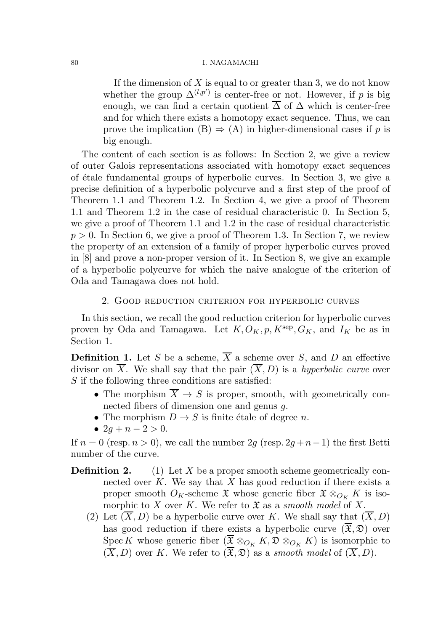If the dimension of  $X$  is equal to or greater than 3, we do not know whether the group  $\Delta^{(l,p')}$  is center-free or not. However, if p is big enough, we can find a certain quotient  $\overline{\Delta}$  of  $\Delta$  which is center-free and for which there exists a homotopy exact sequence. Thus, we can prove the implication  $(B) \Rightarrow (A)$  in higher-dimensional cases if p is big enough.

The content of each section is as follows: In Section 2, we give a review of outer Galois representations associated with homotopy exact sequences of ´etale fundamental groups of hyperbolic curves. In Section 3, we give a precise definition of a hyperbolic polycurve and a first step of the proof of Theorem 1.1 and Theorem 1.2. In Section 4, we give a proof of Theorem 1.1 and Theorem 1.2 in the case of residual characteristic 0. In Section 5, we give a proof of Theorem 1.1 and 1.2 in the case of residual characteristic  $p > 0$ . In Section 6, we give a proof of Theorem 1.3. In Section 7, we review the property of an extension of a family of proper hyperbolic curves proved in [8] and prove a non-proper version of it. In Section 8, we give an example of a hyperbolic polycurve for which the naive analogue of the criterion of Oda and Tamagawa does not hold.

2. Good reduction criterion for hyperbolic curves

In this section, we recall the good reduction criterion for hyperbolic curves proven by Oda and Tamagawa. Let  $K, O_K, p, K^{\text{sep}}, G_K$ , and  $I_K$  be as in Section 1.

**Definition 1.** Let S be a scheme,  $\overline{X}$  a scheme over S, and D an effective divisor on X. We shall say that the pair  $(X, D)$  is a hyperbolic curve over  $S$  if the following three conditions are satisfied:

- The morphism  $\overline{X} \to S$  is proper, smooth, with geometrically connected fibers of dimension one and genus g.
- The morphism  $D \to S$  is finite étale of degree n.
- $2g + n 2 > 0$ .

If  $n = 0$  (resp.  $n > 0$ ), we call the number 2g (resp. 2g + n - 1) the first Betti number of the curve.

- **Definition 2.** (1) Let X be a proper smooth scheme geometrically connected over K. We say that X has good reduction if there exists a proper smooth  $O_K$ -scheme  $\mathfrak X$  whose generic fiber  $\mathfrak X \otimes_{O_K} K$  is isomorphic to X over K. We refer to  $\mathfrak X$  as a smooth model of X.
	- (2) Let  $(X, D)$  be a hyperbolic curve over K. We shall say that  $(X, D)$ has good reduction if there exists a hyperbolic curve  $(\overline{\mathfrak{X}}, \mathfrak{D})$  over Spec K whose generic fiber ( $\overline{\mathfrak{X}} \otimes_{O_K} K$ ,  $\mathfrak{D} \otimes_{O_K} K$ ) is isomorphic to  $(\overline{X}, D)$  over K. We refer to  $(\overline{\mathfrak{X}}, \mathfrak{D})$  as a smooth model of  $(\overline{X}, D)$ .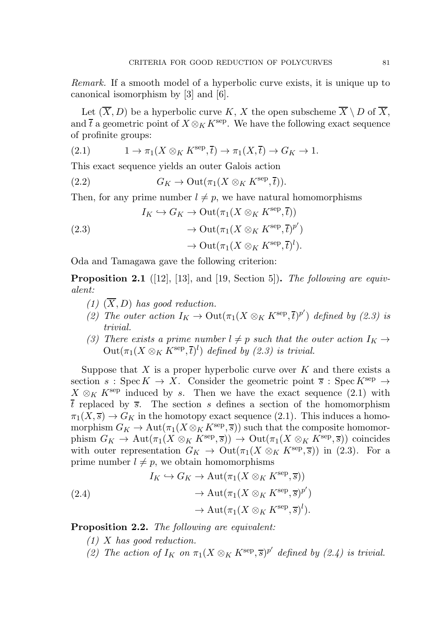Remark. If a smooth model of a hyperbolic curve exists, it is unique up to canonical isomorphism by [3] and [6].

Let  $(\overline{X}, D)$  be a hyperbolic curve K, X the open subscheme  $\overline{X} \setminus D$  of  $\overline{X}$ , and  $\bar{t}$  a geometric point of  $X \otimes_K K^{\text{sep}}$ . We have the following exact sequence of profinite groups:

(2.1) 
$$
1 \to \pi_1(X \otimes_K K^{\text{sep}}, \overline{t}) \to \pi_1(X, \overline{t}) \to G_K \to 1.
$$

This exact sequence yields an outer Galois action

(2.2)  $G_K \to \text{Out}(\pi_1(X \otimes_K K^{\text{sep}}, \overline{t})).$ 

Then, for any prime number  $l \neq p$ , we have natural homomorphisms

(2.3)  
\n
$$
I_K \hookrightarrow G_K \to \text{Out}(\pi_1(X \otimes_K K^{\text{sep}}, \overline{t}))
$$
\n
$$
\to \text{Out}(\pi_1(X \otimes_K K^{\text{sep}}, \overline{t})^{p'})
$$
\n
$$
\to \text{Out}(\pi_1(X \otimes_K K^{\text{sep}}, \overline{t})^l).
$$

Oda and Tamagawa gave the following criterion:

**Proposition 2.1** ([12], [13], and [19, Section 5]). The following are equivalent:

- $(1)$   $(X, D)$  has good reduction.
- (2) The outer action  $I_K \to \mathrm{Out}(\pi_1(X \otimes_K K^{\mathrm{sep}}, \overline{t})^{p'})$  defined by (2.3) is trivial.
- (3) There exists a prime number  $l \neq p$  such that the outer action  $I_K \rightarrow$  $\mathrm{Out}(\pi_1(X\otimes_K K^{\mathrm{sep}}, \overline{t})^l)$  defined by (2.3) is trivial.

Suppose that  $X$  is a proper hyperbolic curve over  $K$  and there exists a section  $s : \text{Spec } K \to X$ . Consider the geometric point  $\overline{s} : \text{Spec } K^{\text{sep}} \to$  $X \otimes_K K^{\rm sep}$  induced by s. Then we have the exact sequence (2.1) with  $\overline{t}$  replaced by  $\overline{s}$ . The section s defines a section of the homomorphism  $\pi_1(X,\overline{s}) \to G_K$  in the homotopy exact sequence (2.1). This induces a homomorphism  $G_K \to \text{Aut}(\pi_1(X \otimes_K K^{\text{sep}}, \overline{s}))$  such that the composite homomorphism  $G_K \to \text{Aut}(\pi_1(X \otimes_K K^{\text{sep}}, \overline{s})) \to \text{Out}(\pi_1(X \otimes_K K^{\text{sep}}, \overline{s}))$  coincides with outer representation  $G_K \to \mathrm{Out}(\pi_1(X \otimes_K K^{\mathrm{sep}}, \overline{s}))$  in (2.3). For a prime number  $l \neq p$ , we obtain homomorphisms

(2.4)  
\n
$$
I_K \hookrightarrow G_K \to \text{Aut}(\pi_1(X \otimes_K K^{\text{sep}}, \overline{s}))
$$
\n
$$
\to \text{Aut}(\pi_1(X \otimes_K K^{\text{sep}}, \overline{s})^{p'})
$$
\n
$$
\to \text{Aut}(\pi_1(X \otimes_K K^{\text{sep}}, \overline{s})^l).
$$

Proposition 2.2. The following are equivalent:

- $(1)$  X has good reduction.
- (2) The action of  $I_K$  on  $\pi_1(X \otimes_K K^{\text{sep}}, \overline{s})^{p'}$  defined by (2.4) is trivial.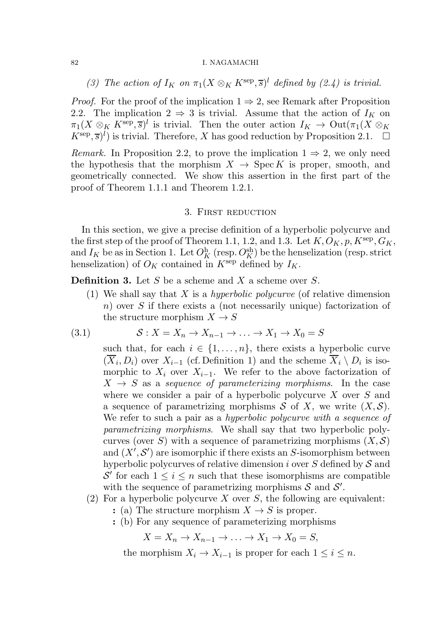(3) The action of  $I_K$  on  $\pi_1(X \otimes_K K^{\text{sep}}, \overline{s})^l$  defined by (2.4) is trivial.

*Proof.* For the proof of the implication  $1 \Rightarrow 2$ , see Remark after Proposition 2.2. The implication  $2 \Rightarrow 3$  is trivial. Assume that the action of  $I_K$  on  $\pi_1(X \otimes_K K^{\text{sep}}, \overline{s})^l$  is trivial. Then the outer action  $I_K \to \text{Out}(\pi_1(X \otimes_K \overline{s}))$  $(K<sup>sep</sup>, \overline{s})<sup>l</sup>$ ) is trivial. Therefore, X has good reduction by Proposition 2.1.  $\Box$ 

*Remark.* In Proposition 2.2, to prove the implication  $1 \Rightarrow 2$ , we only need the hypothesis that the morphism  $X \rightarrow \text{Spec } K$  is proper, smooth, and geometrically connected. We show this assertion in the first part of the proof of Theorem 1.1.1 and Theorem 1.2.1.

### 3. First reduction

In this section, we give a precise definition of a hyperbolic polycurve and the first step of the proof of Theorem 1.1, 1.2, and 1.3. Let  $K, O_K, p, K^{\text{sep}}, G_K$ , and  $I_K$  be as in Section 1. Let  $O_K^{\text{h}}$  (resp.  $O_K^{\text{sh}}$ ) be the henselization (resp. strict henselization) of  $O_K$  contained in  $K^{\text{sep}}$  defined by  $I_K$ .

**Definition 3.** Let S be a scheme and X a scheme over S.

(1) We shall say that X is a hyperbolic polycurve (of relative dimension n) over S if there exists a (not necessarily unique) factorization of the structure morphism  $X \to S$ 

(3.1) 
$$
\mathcal{S}: X = X_n \to X_{n-1} \to \dots \to X_1 \to X_0 = S
$$

such that, for each  $i \in \{1, \ldots, n\}$ , there exists a hyperbolic curve  $(X_i, D_i)$  over  $X_{i-1}$  (cf. Definition 1) and the scheme  $X_i \setminus D_i$  is isomorphic to  $X_i$  over  $X_{i-1}$ . We refer to the above factorization of  $X \rightarrow S$  as a sequence of parameterizing morphisms. In the case where we consider a pair of a hyperbolic polycurve X over S and a sequence of parametrizing morphisms  $S$  of X, we write  $(X, S)$ . We refer to such a pair as a hyperbolic polycurve with a sequence of parametrizing morphisms. We shall say that two hyperbolic polycurves (over S) with a sequence of parametrizing morphisms  $(X, \mathcal{S})$ and  $(X', \mathcal{S}')$  are isomorphic if there exists an S-isomorphism between hyperbolic polycurves of relative dimension i over  $S$  defined by  $S$  and S' for each  $1 \leq i \leq n$  such that these isomorphisms are compatible with the sequence of parametrizing morphisms  $S$  and  $S'$ .

- (2) For a hyperbolic polycurve X over S, the following are equivalent:
	- : (a) The structure morphism  $X \to S$  is proper.
	- : (b) For any sequence of parameterizing morphisms

 $X = X_n \rightarrow X_{n-1} \rightarrow \ldots \rightarrow X_1 \rightarrow X_0 = S,$ 

the morphism  $X_i \to X_{i-1}$  is proper for each  $1 \leq i \leq n$ .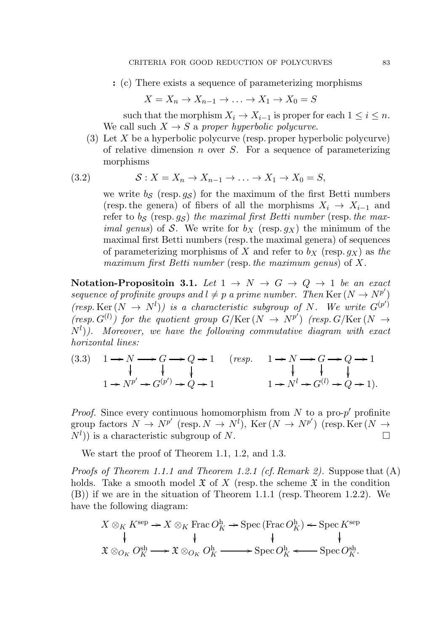: (c) There exists a sequence of parameterizing morphisms

$$
X = X_n \to X_{n-1} \to \dots \to X_1 \to X_0 = S
$$

such that the morphism  $X_i \to X_{i-1}$  is proper for each  $1 \leq i \leq n$ . We call such  $X \rightarrow S$  a proper hyperbolic polycurve.

(3) Let X be a hyperbolic polycurve (resp. proper hyperbolic polycurve) of relative dimension  $n$  over  $S$ . For a sequence of parameterizing morphisms

$$
(3.2) \t S: X = X_n \to X_{n-1} \to \dots \to X_1 \to X_0 = S,
$$

we write  $b_S$  (resp.  $q_S$ ) for the maximum of the first Betti numbers (resp. the genera) of fibers of all the morphisms  $X_i \rightarrow X_{i-1}$  and refer to  $b_S$  (resp. qs) the maximal first Betti number (resp. the max*imal genus*) of S. We write for  $b_X$  (resp.  $g_X$ ) the minimum of the maximal first Betti numbers (resp. the maximal genera) of sequences of parameterizing morphisms of X and refer to  $b<sub>X</sub>$  (resp.  $g<sub>X</sub>$ ) as the maximum first Betti number (resp. the maximum genus) of  $X$ .

Notation-Propositoin 3.1. Let  $1 \rightarrow N \rightarrow G \rightarrow Q \rightarrow 1$  be an exact sequence of profinite groups and  $l \neq p$  a prime number. Then Ker  $(N \rightarrow N^{p'})$  $(resp. Ker(N \rightarrow N^{l}))$  is a characteristic subgroup of N. We write  $G^{(p^{l})}$  $(resp. G^{(l)})$  for the quotient group  $G/Ker(N \rightarrow N^{p'})$  (resp.  $G/Ker(N \rightarrow N^{p'})$ )  $(N^{l})$ ). Moreover, we have the following commutative diagram with exact horizontal lines:

$$
\begin{array}{cccc}\n(3.3) & 1 \rightarrow N \longrightarrow G \longrightarrow Q \rightarrow 1 & (resp. & 1 \rightarrow N \longrightarrow G \longrightarrow Q \rightarrow 1 \\
\downarrow & \downarrow & \downarrow & \downarrow & \downarrow \\
1 \rightarrow N^{p'} \rightarrow G^{(p')} \rightarrow Q \rightarrow 1 & 1 \rightarrow N^l \rightarrow G^{(l)} \rightarrow Q \rightarrow 1).\n\end{array}
$$

*Proof.* Since every continuous homomorphism from  $N$  to a pro- $p'$  profinite group factors  $N \to N^{p'}$  (resp.  $N \to N^{l}$ ), Ker  $(N \to N^{p'})$  (resp. Ker  $(N \to N^{p'})$ )  $(N<sup>l</sup>)$ ) is a characteristic subgroup of N.

We start the proof of Theorem 1.1, 1.2, and 1.3.

Proofs of Theorem 1.1.1 and Theorem 1.2.1 (cf. Remark 2). Suppose that (A) holds. Take a smooth model  $\mathfrak X$  of X (resp. the scheme  $\mathfrak X$  in the condition (B)) if we are in the situation of Theorem 1.1.1 (resp. Theorem 1.2.2). We have the following diagram:

$$
X \otimes_K K^{\text{sep}} \to X \otimes_K \text{Frac} O_K^{\text{h}} \to \text{Spec} (\text{Frac} O_K^{\text{h}}) \leftarrow \text{Spec} K^{\text{sep}}
$$
  

$$
\downarrow \qquad \qquad \downarrow \qquad \qquad \downarrow \qquad \qquad \downarrow
$$
  

$$
\mathfrak{X} \otimes_{O_K} O_K^{\text{sh}} \longrightarrow \mathfrak{X} \otimes_{O_K} O_K^{\text{h}} \longrightarrow \text{Spec} O_K^{\text{h}} \longleftarrow \text{Spec} O_K^{\text{sh}}.
$$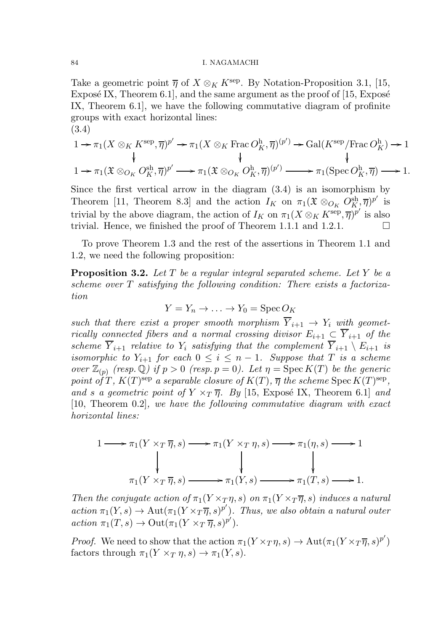Take a geometric point  $\overline{\eta}$  of  $X \otimes_K K^{\text{sep}}$ . By Notation-Proposition 3.1, [15, Exposé IX, Theorem  $6.1$ ], and the same argument as the proof of [15, Exposé IX, Theorem 6.1], we have the following commutative diagram of profinite groups with exact horizontal lines: (3.4)

$$
1 \to \pi_1(X \otimes_K K^{\text{sep}}, \overline{\eta})^{p'} \to \pi_1(X \otimes_K \text{Frac } O_K^{\text{h}}, \overline{\eta})^{(p')} \to \text{Gal}(K^{\text{sep}}/\text{Frac } O_K^{\text{h}}) \to 1
$$
  

$$
\downarrow \qquad \qquad \downarrow \qquad \qquad \downarrow
$$
  

$$
1 \to \pi_1(\mathfrak{X} \otimes_{O_K} O_K^{\text{sh}}, \overline{\eta})^{p'} \longrightarrow \pi_1(\mathfrak{X} \otimes_{O_K} O_K^{\text{h}}, \overline{\eta})^{(p')} \longrightarrow \pi_1(\text{Spec } O_K^{\text{h}}, \overline{\eta}) \longrightarrow 1.
$$

Since the first vertical arrow in the diagram (3.4) is an isomorphism by Theorem [11, Theorem 8.3] and the action  $I_K$  on  $\pi_1(\mathfrak{X} \otimes_{O_K} O_K^{\operatorname{sh}}, \overline{\eta})^{p'}$  is trivial by the above diagram, the action of  $I_K$  on  $\pi_1(X \otimes_K K^{\text{sep}}, \overline{\eta})^{p'}$  is also trivial. Hence, we finished the proof of Theorem 1.1.1 and 1.2.1.

To prove Theorem 1.3 and the rest of the assertions in Theorem 1.1 and 1.2, we need the following proposition:

**Proposition 3.2.** Let  $T$  be a regular integral separated scheme. Let  $Y$  be a scheme over T satisfying the following condition: There exists a factorization

$$
Y = Y_n \to \dots \to Y_0 = \text{Spec } O_K
$$

such that there exist a proper smooth morphism  $\overline{Y}_{i+1} \rightarrow Y_i$  with geometrically connected fibers and a normal crossing divisor  $E_{i+1} \subset \overline{Y}_{i+1}$  of the scheme  $\overline{Y}_{i+1}$  relative to  $Y_i$  satisfying that the complement  $\overline{Y}_{i+1} \setminus E_{i+1}$  is isomorphic to  $Y_{i+1}$  for each  $0 \leq i \leq n-1$ . Suppose that T is a scheme over  $\mathbb{Z}_{(p)}$  (resp. Q) if  $p > 0$  (resp.  $p = 0$ ). Let  $\eta = \text{Spec } K(T)$  be the generic point of T,  $K(T)$ <sup>sep</sup> a separable closure of  $K(T)$ ,  $\overline{\eta}$  the scheme Spec  $K(T)$ <sup>sep</sup>, and s a geometric point of  $Y \times_T \overline{\eta}$ . By [15, Exposé IX, Theorem 6.1] and [10, Theorem 0.2], we have the following commutative diagram with exact horizontal lines:

$$
1 \longrightarrow \pi_1(Y \times_T \overline{\eta}, s) \longrightarrow \pi_1(Y \times_T \eta, s) \longrightarrow \pi_1(\eta, s) \longrightarrow 1
$$
  
\n
$$
\downarrow \qquad \qquad \downarrow \qquad \qquad \downarrow
$$
  
\n
$$
\pi_1(Y \times_T \overline{\eta}, s) \longrightarrow \pi_1(Y, s) \longrightarrow \pi_1(T, s) \longrightarrow 1.
$$

Then the conjugate action of  $\pi_1(Y \times_T \eta, s)$  on  $\pi_1(Y \times_T \overline{\eta}, s)$  induces a natural  $action \pi_1(Y, s) \rightarrow Aut(\pi_1(Y \times_T \overline{\eta}, s)^{p'})$ . Thus, we also obtain a natural outer  $action \pi_1(T, s) \rightarrow Out(\pi_1(Y \times_T \overline{\eta}, s)^{p'}).$ 

*Proof.* We need to show that the action  $\pi_1(Y \times_T \eta, s) \to \text{Aut}(\pi_1(Y \times_T \overline{\eta}, s)^{p'})$ factors through  $\pi_1(Y \times_T \eta, s) \to \pi_1(Y, s)$ .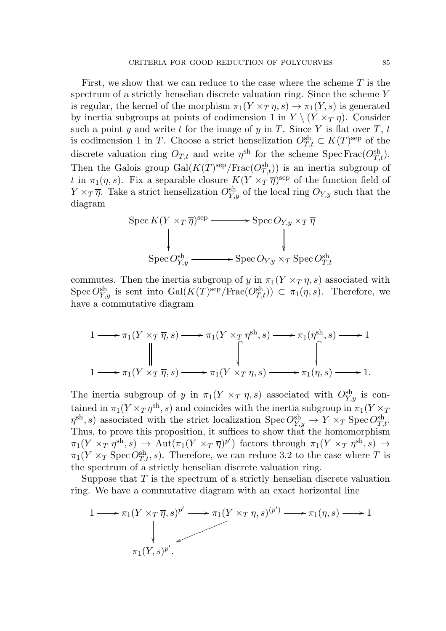First, we show that we can reduce to the case where the scheme  $T$  is the spectrum of a strictly henselian discrete valuation ring. Since the scheme Y is regular, the kernel of the morphism  $\pi_1(Y \times_T \eta, s) \to \pi_1(Y, s)$  is generated by inertia subgroups at points of codimension 1 in  $Y \setminus (Y \times_T \eta)$ . Consider such a point y and write t for the image of y in T. Since Y is flat over  $T, t$ is codimension 1 in T. Choose a strict henselization  $O_{T,t}^{\text{sh}} \subset K(T)^{\text{sep}}$  of the discrete valuation ring  $O_{T,t}$  and write  $\eta^{\text{sh}}$  for the scheme Spec Frac $(O_{T,t}^{\text{sh}})$ . Then the Galois group  $Gal(K(T)^{\text{sep}}/\text{Frac}(O_{T,t}^{\text{sh}}))$  is an inertia subgroup of t in  $\pi_1(\eta, s)$ . Fix a separable closure  $K(Y \times_T \overline{\eta})^{\text{sep}}$  of the function field of  $Y \times_T \overline{\eta}$ . Take a strict henselization  $O_{Y,y}^{sh}$  of the local ring  $O_{Y,y}$  such that the diagram

$$
\begin{aligned}\n\text{Spec } K(Y \times_T \overline{\eta})^{\text{sep}} &\longrightarrow \text{Spec } O_{Y,y} \times_T \overline{\eta} \\
&\downarrow \qquad \qquad \downarrow \\
\text{Spec } O_{Y,y}^{\text{sh}} &\longrightarrow \text{Spec } O_{Y,y} \times_T \text{Spec } O_{T,t}^{\text{sh}}\n\end{aligned}
$$

commutes. Then the inertia subgroup of y in  $\pi_1(Y \times_T \eta, s)$  associated with Spec  $O_{Y,y}^{\text{sh}}$  is sent into  $\text{Gal}(K(T)^{\text{sep}}/\text{Frac}(O_{T,t}^{\text{sh}})) \subset \pi_1(\eta, s)$ . Therefore, we have a commutative diagram

$$
1 \longrightarrow \pi_1(Y \times_T \overline{\eta}, s) \longrightarrow \pi_1(Y \times_T \eta^{\text{sh}}, s) \longrightarrow \pi_1(\eta^{\text{sh}}, s) \longrightarrow 1
$$
  

$$
\downarrow \qquad \qquad \downarrow \qquad \qquad \downarrow \qquad \qquad \downarrow
$$
  

$$
1 \longrightarrow \pi_1(Y \times_T \overline{\eta}, s) \longrightarrow \pi_1(Y \times_T \eta, s) \longrightarrow \pi_1(\eta, s) \longrightarrow 1.
$$

The inertia subgroup of y in  $\pi_1(Y \times_T \eta, s)$  associated with  $O_{Y,y}^{\text{sh}}$  is contained in  $\pi_1(Y \times_T \eta^{\text{sh}}, s)$  and coincides with the inertia subgroup in  $\pi_1(Y \times_T \eta^{\text{sh}}, s)$  $\eta^{\text{sh}}, s$ ) associated with the strict localization  $\text{Spec } O^{\text{sh}}_{Y,y} \to Y \times_T \text{Spec } O^{\text{sh}}_{T,t}$ . Thus, to prove this proposition, it suffices to show that the homomorphism  $\pi_1(Y\rhd_{T}\eta^{\text{sh}},s)\rightarrow \text{Aut}(\pi_1(Y\rtimes_{T}\overline{\eta})^{p'})$  factors through  $\pi_1(Y\rtimes_{T}\eta^{\text{sh}},s)\rightarrow$  $\pi_1(Y \times_T \text{Spec } O_{T,t}^{\text{sh}}, s)$ . Therefore, we can reduce 3.2 to the case where T is the spectrum of a strictly henselian discrete valuation ring.

Suppose that  $T$  is the spectrum of a strictly henselian discrete valuation ring. We have a commutative diagram with an exact horizontal line

$$
1 \longrightarrow \pi_1(Y \times_T \overline{\eta}, s)^{p'} \longrightarrow \pi_1(Y \times_T \eta, s)^{(p')} \longrightarrow \pi_1(\eta, s) \longrightarrow 1
$$
  
\n
$$
\downarrow \qquad \qquad \pi_1(Y, s)^{p'}.
$$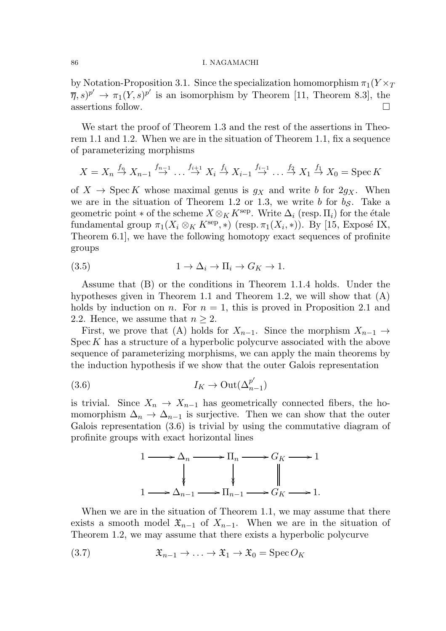by Notation-Proposition 3.1. Since the specialization homomorphism  $\pi_1(Y \times_T$  $\overline{\eta}, s$ <sup>p'</sup>  $\rightarrow \pi_1(Y, s)$ <sup>p'</sup> is an isomorphism by Theorem [11, Theorem 8.3], the assertions follow.

We start the proof of Theorem 1.3 and the rest of the assertions in Theorem 1.1 and 1.2. When we are in the situation of Theorem 1.1, fix a sequence of parameterizing morphisms

$$
X = X_n \stackrel{f_n}{\to} X_{n-1} \stackrel{f_{n-1}}{\to} \dots \stackrel{f_{i+1}}{\to} X_i \stackrel{f_i}{\to} X_{i-1} \stackrel{f_{i-1}}{\to} \dots \stackrel{f_2}{\to} X_1 \stackrel{f_1}{\to} X_0 = \text{Spec } K
$$

of  $X \to \operatorname{Spec} K$  whose maximal genus is  $g_X$  and write b for  $2g_X$ . When we are in the situation of Theorem 1.2 or 1.3, we write b for  $b_{\mathcal{S}}$ . Take a geometric point  $*$  of the scheme  $X \otimes_K K^{\text{sep}}$ . Write  $\Delta_i$  (resp.  $\Pi_i$ ) for the étale fundamental group  $\pi_1(X_i \otimes_K K^{\text{sep}}, *)$  (resp.  $\pi_1(X_i, *)$ ). By [15, Exposé IX, Theorem 6.1], we have the following homotopy exact sequences of profinite groups

(3.5) 
$$
1 \to \Delta_i \to \Pi_i \to G_K \to 1.
$$

Assume that (B) or the conditions in Theorem 1.1.4 holds. Under the hypotheses given in Theorem 1.1 and Theorem 1.2, we will show that (A) holds by induction on n. For  $n = 1$ , this is proved in Proposition 2.1 and 2.2. Hence, we assume that  $n \geq 2$ .

First, we prove that (A) holds for  $X_{n-1}$ . Since the morphism  $X_{n-1} \to$  $\mathrm{Spec} K$  has a structure of a hyperbolic polycurve associated with the above sequence of parameterizing morphisms, we can apply the main theorems by the induction hypothesis if we show that the outer Galois representation

(3.6) 
$$
I_K \to \text{Out}(\Delta_{n-1}^{p'})
$$

is trivial. Since  $X_n \to X_{n-1}$  has geometrically connected fibers, the homomorphism  $\Delta_n \to \Delta_{n-1}$  is surjective. Then we can show that the outer Galois representation (3.6) is trivial by using the commutative diagram of profinite groups with exact horizontal lines



When we are in the situation of Theorem 1.1, we may assume that there exists a smooth model  $\mathfrak{X}_{n-1}$  of  $X_{n-1}$ . When we are in the situation of Theorem 1.2, we may assume that there exists a hyperbolic polycurve

(3.7) 
$$
\mathfrak{X}_{n-1} \to \dots \to \mathfrak{X}_1 \to \mathfrak{X}_0 = \operatorname{Spec} O_K
$$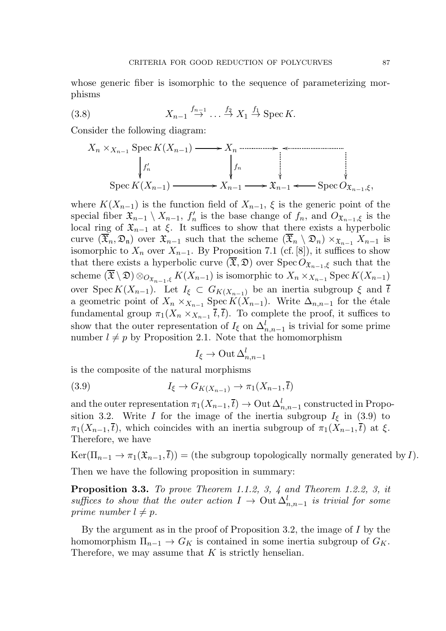whose generic fiber is isomorphic to the sequence of parameterizing morphisms

(3.8) 
$$
X_{n-1} \stackrel{f_{n-1}}{\to} \dots \stackrel{f_2}{\to} X_1 \stackrel{f_1}{\to} \text{Spec } K.
$$

Consider the following diagram:

$$
X_n \times_{X_{n-1}} \operatorname{Spec} K(X_{n-1}) \longrightarrow X_n \longrightarrow X_n \longrightarrow \begin{cases} f_n & \text{if } \\ f_n & \text{if } \\ \text{Spec} K(X_{n-1}) \longrightarrow X_{n-1} \longrightarrow X_{n-1} \longrightarrow \text{Spec } O_{X_{n-1}, \xi}, \end{cases}
$$

where  $K(X_{n-1})$  is the function field of  $X_{n-1}$ ,  $\xi$  is the generic point of the special fiber  $\mathfrak{X}_{n-1} \setminus X_{n-1}$ ,  $f'_n$  is the base change of  $f_n$ , and  $O_{\mathfrak{X}_{n-1},\xi}$  is the local ring of  $\mathfrak{X}_{n-1}$  at  $\xi$ . It suffices to show that there exists a hyperbolic curve  $(\overline{\mathfrak{X}}_n, \mathfrak{D}_n)$  over  $\mathfrak{X}_{n-1}$  such that the scheme  $(\overline{\mathfrak{X}}_n \setminus \mathfrak{D}_n) \times_{\mathfrak{X}_{n-1}} X_{n-1}$  is isomorphic to  $X_n$  over  $X_{n-1}$ . By Proposition 7.1 (cf. [8]), it suffices to show that there exists a hyperbolic curve  $(\mathfrak{F}, \mathfrak{D})$  over  $\text{Spec } O_{\mathfrak{X}_{n-1}, \xi}$  such that the scheme  $(\overline{\mathfrak{X}} \setminus \mathfrak{D}) \otimes_{O_{\mathfrak{X}_{n-1},\xi}} K(X_{n-1})$  is isomorphic to  $X_n \times_{X_{n-1}} \mathrm{Spec} K(X_{n-1})$ over Spec  $K(X_{n-1})$ . Let  $I_{\xi} \subset G_{K(X_{n-1})}$  be an inertia subgroup  $\xi$  and  $\overline{t}$ a geometric point of  $X_n \times_{X_{n-1}} \operatorname{Spec} K(X_{n-1})$ . Write  $\Delta_{n,n-1}$  for the étale fundamental group  $\pi_1(X_n \times_{X_{n-1}} \overline{t}, \overline{t}).$  To complete the proof, it suffices to show that the outer representation of  $I_{\xi}$  on  $\Delta_{n,n-1}^{l}$  is trivial for some prime number  $l \neq p$  by Proposition 2.1. Note that the homomorphism

$$
I_{\xi} \to \mathrm{Out\,} \Delta_{n,n-1}^l
$$

is the composite of the natural morphisms

$$
(3.9) \tI_{\xi} \to G_{K(X_{n-1})} \to \pi_1(X_{n-1}, \overline{t})
$$

and the outer representation  $\pi_1(X_{n-1}, \overline{t}) \to \text{Out }\Delta^l_{n,n-1}$  constructed in Proposition 3.2. Write I for the image of the inertia subgroup  $I_{\xi}$  in (3.9) to  $\pi_1(X_{n-1},\bar{t})$ , which coincides with an inertia subgroup of  $\pi_1(X_{n-1},\bar{t})$  at  $\xi$ . Therefore, we have

 $\text{Ker}(\Pi_{n-1} \to \pi_1(\mathfrak{X}_{n-1},\overline{t})) = (\text{the subgroup topologically normally generated by } I).$ Then we have the following proposition in summary:

Proposition 3.3. To prove Theorem 1.1.2, 3, 4 and Theorem 1.2.2, 3, it suffices to show that the outer action  $I \to$  Out  $\Delta_{n,n-1}^l$  is trivial for some prime number  $l \neq p$ .

By the argument as in the proof of Proposition 3.2, the image of  $I$  by the homomorphism  $\Pi_{n-1} \to G_K$  is contained in some inertia subgroup of  $G_K$ . Therefore, we may assume that  $K$  is strictly henselian.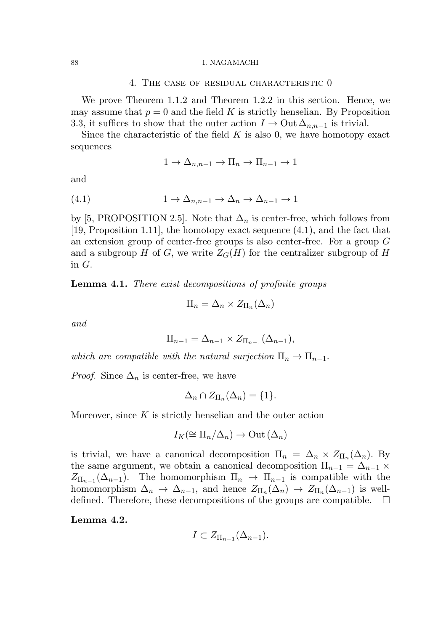### 4. The case of residual characteristic 0

We prove Theorem 1.1.2 and Theorem 1.2.2 in this section. Hence, we may assume that  $p = 0$  and the field K is strictly henselian. By Proposition 3.3, it suffices to show that the outer action  $I \to 0$ ut  $\Delta_{n,n-1}$  is trivial.

Since the characteristic of the field  $K$  is also 0, we have homotopy exact sequences

$$
1 \to \Delta_{n,n-1} \to \Pi_n \to \Pi_{n-1} \to 1
$$

and

$$
(4.1) \t 1 \to \Delta_{n,n-1} \to \Delta_n \to \Delta_{n-1} \to 1
$$

by [5, PROPOSITION 2.5]. Note that  $\Delta_n$  is center-free, which follows from [19, Proposition 1.11], the homotopy exact sequence (4.1), and the fact that an extension group of center-free groups is also center-free. For a group G and a subgroup H of G, we write  $Z_G(H)$  for the centralizer subgroup of H in G.

Lemma 4.1. There exist decompositions of profinite groups

$$
\Pi_n = \Delta_n \times Z_{\Pi_n}(\Delta_n)
$$

and

$$
\Pi_{n-1} = \Delta_{n-1} \times Z_{\Pi_{n-1}}(\Delta_{n-1}),
$$

which are compatible with the natural surjection  $\Pi_n \to \Pi_{n-1}$ .

*Proof.* Since  $\Delta_n$  is center-free, we have

$$
\Delta_n \cap Z_{\Pi_n}(\Delta_n) = \{1\}.
$$

Moreover, since  $K$  is strictly henselian and the outer action

$$
I_K(\cong \Pi_n/\Delta_n)\to \mathrm{Out}\,(\Delta_n)
$$

is trivial, we have a canonical decomposition  $\Pi_n = \Delta_n \times Z_{\Pi_n}(\Delta_n)$ . By the same argument, we obtain a canonical decomposition  $\Pi_{n-1} = \Delta_{n-1} \times$  $Z_{\Pi_{n-1}}(\Delta_{n-1})$ . The homomorphism  $\Pi_n \to \Pi_{n-1}$  is compatible with the homomorphism  $\Delta_n \to \Delta_{n-1}$ , and hence  $Z_{\Pi_n}(\Delta_n) \to Z_{\Pi_n}(\Delta_{n-1})$  is welldefined. Therefore, these decompositions of the groups are compatible.  $\Box$ 

Lemma 4.2.

$$
I \subset Z_{\Pi_{n-1}}(\Delta_{n-1}).
$$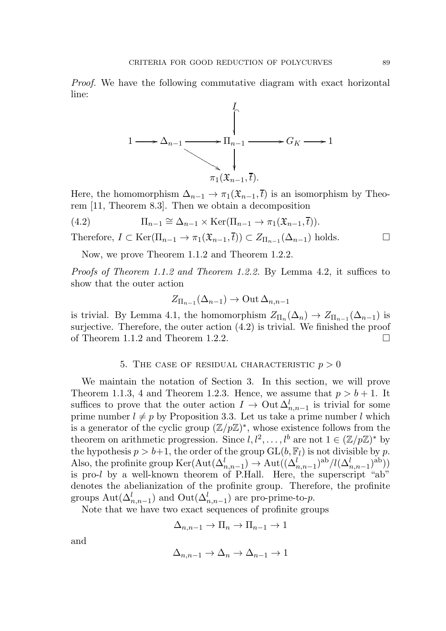Proof. We have the following commutative diagram with exact horizontal line:



Here, the homomorphism  $\Delta_{n-1} \to \pi_1(\mathfrak{X}_{n-1}, \overline{t})$  is an isomorphism by Theorem [11, Theorem 8.3]. Then we obtain a decomposition

(4.2) 
$$
\Pi_{n-1} \cong \Delta_{n-1} \times \text{Ker}(\Pi_{n-1} \to \pi_1(\mathfrak{X}_{n-1}, \overline{t})).
$$
  
Therefore,  $I \subset \text{Ker}(\Pi_{n-1} \to \pi_1(\mathfrak{X}_{n-1}, \overline{t})) \subset Z_{\Pi_{n-1}}(\Delta_{n-1})$  holds.

Now, we prove Theorem 1.1.2 and Theorem 1.2.2.

Proofs of Theorem 1.1.2 and Theorem 1.2.2. By Lemma 4.2, it suffices to show that the outer action

$$
Z_{\Pi_{n-1}}(\Delta_{n-1}) \to \text{Out}\,\Delta_{n,n-1}
$$

is trivial. By Lemma 4.1, the homomorphism  $Z_{\Pi_n}(\Delta_n) \to Z_{\Pi_{n-1}}(\Delta_{n-1})$  is surjective. Therefore, the outer action (4.2) is trivial. We finished the proof of Theorem 1.1.2 and Theorem 1.2.2.  $\square$ 

5. THE CASE OF RESIDUAL CHARACTERISTIC  $p > 0$ 

We maintain the notation of Section 3. In this section, we will prove Theorem 1.1.3, 4 and Theorem 1.2.3. Hence, we assume that  $p > b + 1$ . It suffices to prove that the outer action  $I \to 0$ ut  $\Delta_{n,n-1}^l$  is trivial for some prime number  $l \neq p$  by Proposition 3.3. Let us take a prime number l which is a generator of the cyclic group  $(\mathbb{Z}/p\mathbb{Z})^*$ , whose existence follows from the theorem on arithmetic progression. Since  $l, l^2, \ldots, l^b$  are not  $1 \in (\mathbb{Z}/p\mathbb{Z})^*$  by the hypothesis  $p > b+1$ , the order of the group  $GL(b, \mathbb{F}_l)$  is not divisible by p. Also, the profinite group  $\text{Ker}(\text{Aut}(\Delta_{n,n-1}^l) \to \text{Aut}((\Delta_{n,n-1}^l)^{\text{ab}}/l(\Delta_{n,n-1}^l)^{\text{ab}}))$ is pro-l by a well-known theorem of P.Hall. Here, the superscript "ab" denotes the abelianization of the profinite group. Therefore, the profinite groups  $\mathrm{Aut}(\Delta_{n,n-1}^l)$  and  $\mathrm{Out}(\Delta_{n,n-1}^l)$  are pro-prime-to-p.

Note that we have two exact sequences of profinite groups

$$
\Delta_{n,n-1} \to \Pi_n \to \Pi_{n-1} \to 1
$$

and

$$
\Delta_{n,n-1} \to \Delta_n \to \Delta_{n-1} \to 1
$$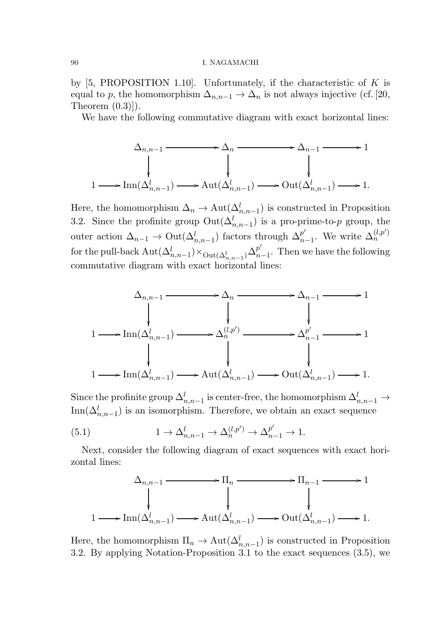by  $[5, PROPOSITION 1.10]$ . Unfortunately, if the characteristic of K is equal to p, the homomorphism  $\Delta_{n,n-1} \to \Delta_n$  is not always injective (cf. [20, Theorem  $(0.3)$ ].

We have the following commutative diagram with exact horizontal lines:

$$
\Delta_{n,n-1} \xrightarrow{\Delta_{n,n-1}} \Delta_n \xrightarrow{\Delta_{n-1}} \Delta_{n-1} \xrightarrow{\Delta_{n-1}} 1
$$
\n
$$
\downarrow \qquad \qquad \downarrow
$$
\n
$$
1 \longrightarrow \text{Inn}(\Delta_{n,n-1}^l) \longrightarrow \text{Aut}(\Delta_{n,n-1}^l) \longrightarrow \text{Out}(\Delta_{n,n-1}^l) \longrightarrow 1.
$$

Here, the homomorphism  $\Delta_n \to \text{Aut}(\Delta^l_{n,n-1})$  is constructed in Proposition 3.2. Since the profinite group  $\text{Out}(\Delta_{n,n-1}^l)$  is a pro-prime-to-p group, the outer action  $\Delta_{n-1} \to \text{Out}(\Delta^l_{n,n-1})$  factors through  $\Delta^{p'}_n$  $_{n-1}^{p'}$ . We write  $\Delta_n^{(l,p')}$  $\dot{n}$ for the pull-back  $\mathrm{Aut}(\Delta^l_{n,n-1})\times_{\mathrm{Out}(\Delta^l_{n,n-1})}\Delta^{p'}_n$  $_{n-1}^p$ . Then we have the following commutative diagram with exact horizontal lines:

$$
\Delta_{n,n-1} \xrightarrow{\Delta_{n}} \Delta_{n-1} \xrightarrow{\Delta_{n-1}} 1
$$
\n
$$
\downarrow \qquad \qquad \downarrow
$$
\n
$$
1 \longrightarrow \text{Inn}(\Delta_{n,n-1}^{l}) \xrightarrow{\Delta_{n}^{(l,p')}} \Delta_{n}^{p'} \xrightarrow{\Delta_{n-1}^{p'}} 1
$$
\n
$$
\downarrow \qquad \qquad \downarrow
$$
\n
$$
1 \longrightarrow \text{Inn}(\Delta_{n,n-1}^{l}) \xrightarrow{\Delta_{n}^{(l,p')}} \text{Aut}(\Delta_{n,n-1}^{l}) \longrightarrow \text{Out}(\Delta_{n,n-1}^{l}) \longrightarrow 1.
$$

Since the profinite group  $\Delta_{n,n-1}^l$  is center-free, the homomorphism  $\Delta_{n,n-1}^l\to$  $\text{Inn}(\Delta_{n,n-1}^l)$  is an isomorphism. Therefore, we obtain an exact sequence

(5.1) 
$$
1 \to \Delta^l_{n,n-1} \to \Delta^{(l,p')}_{n} \to \Delta^{p'}_{n-1} \to 1.
$$

Next, consider the following diagram of exact sequences with exact horizontal lines:

$$
\Delta_{n,n-1} \xrightarrow{\Delta_{n,n-1}} \Pi_n \xrightarrow{\qquad} \Pi_{n-1} \xrightarrow{\qquad} 1
$$
\n
$$
\downarrow \qquad \qquad \downarrow
$$
\n
$$
1 \xrightarrow{\qquad \qquad \downarrow} \Pi_{n-1} \xrightarrow{\qquad \qquad \downarrow} 1
$$
\n
$$
\downarrow
$$
\n
$$
1 \xrightarrow{\qquad \qquad \downarrow} \Pi_{n-1} \xrightarrow{\qquad \qquad \downarrow} 1
$$

Here, the homomorphism  $\Pi_n \to \text{Aut}(\Delta^l_{n,n-1})$  is constructed in Proposition 3.2. By applying Notation-Proposition 3.1 to the exact sequences (3.5), we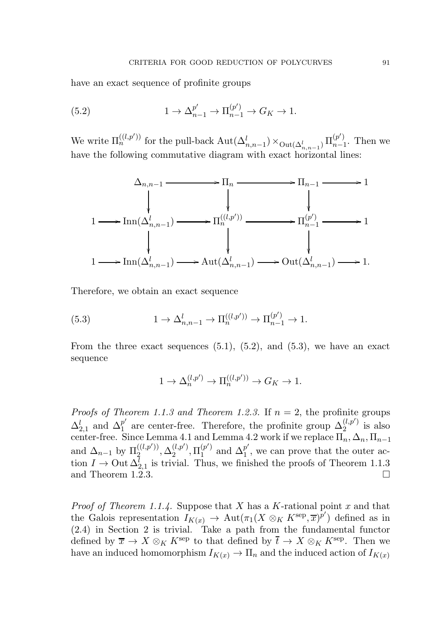have an exact sequence of profinite groups

(5.2) 
$$
1 \to \Delta_{n-1}^{p'} \to \Pi_{n-1}^{(p')} \to G_K \to 1.
$$

We write  $\Pi_n^{((l,p'))}$  for the pull-back  $\mathrm{Aut}(\Delta^l_{n,n-1}) \times_{\mathrm{Out}(\Delta^l_{n,n-1})} \Pi^{(p')}_{n-1}$  $\binom{p}{n-1}$ . Then we have the following commutative diagram with exact horizontal lines:



Therefore, we obtain an exact sequence

(5.3) 
$$
1 \to \Delta^l_{n,n-1} \to \Pi^{((l,p'))}_{n} \to \Pi^{(p')}_{n-1} \to 1.
$$

From the three exact sequences  $(5.1)$ ,  $(5.2)$ , and  $(5.3)$ , we have an exact sequence

$$
1\to \Delta^{(l,p')}_{n}\to \Pi^{((l,p'))}_{n}\to G_K\to 1.
$$

*Proofs of Theorem 1.1.3 and Theorem 1.2.3.* If  $n = 2$ , the profinite groups  $\Delta_{2,1}^l$  and  $\Delta_1^{p'}$  $p'$  are center-free. Therefore, the profinite group  $\Delta_2^{(l,p')}$  $i^{(l,p)}_2$  is also center-free. Since Lemma 4.1 and Lemma 4.2 work if we replace  $\Pi_n, \Delta_n, \Pi_{n-1}$ and  $\Delta_{n-1}$  by  $\Pi_2^{((l,p'))}$  $\mathcal{Q}^{((l,p'))}_2, \Delta^{(l,p')}_2$  $_{2}^{(l,p')},\Pi _{1}^{(p')}$  $1 \choose 1}$  and  $\Delta_1^{p'}$  $_1^p$ , we can prove that the outer action  $I \to$  Out  $\Delta_{2,1}^l$  is trivial. Thus, we finished the proofs of Theorem 1.1.3 and Theorem 1.2.3.

*Proof of Theorem 1.1.4.* Suppose that X has a K-rational point x and that the Galois representation  $I_{K(x)} \to \text{Aut}(\pi_1(X \otimes_K K^{\text{sep}}, \overline{x})^{p'})$  defined as in (2.4) in Section 2 is trivial. Take a path from the fundamental functor defined by  $\overline{x} \to X \otimes_K K^{\text{sep}}$  to that defined by  $\overline{t} \to X \otimes_K K^{\text{sep}}$ . Then we have an induced homomorphism  $I_{K(x)} \to \Pi_n$  and the induced action of  $I_{K(x)}$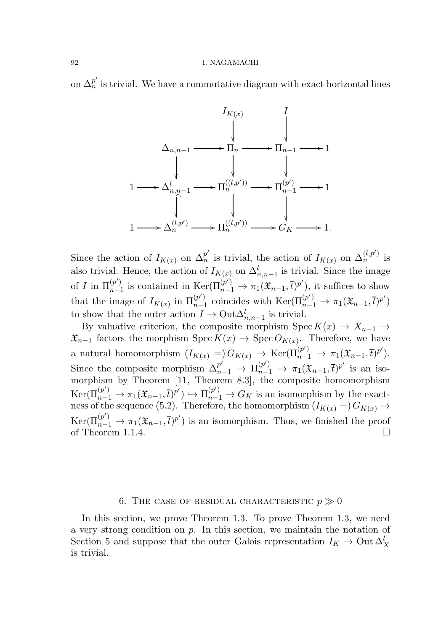on  $\Delta_n^{p'}$  is trivial. We have a commutative diagram with exact horizontal lines



Since the action of  $I_{K(x)}$  on  $\Delta_n^{p'}$  is trivial, the action of  $I_{K(x)}$  on  $\Delta_n^{(l,p')}$  is also trivial. Hence, the action of  $I_{K(x)}$  on  $\Delta_{n,n-1}^l$  is trivial. Since the image of I in  $\Pi_{n-1}^{(p')}$  ${}_{n-1}^{(p')}$  is contained in Ker( $\Pi_{n-1}^{(p')}$  →  $\pi_1(\mathfrak{X}_{n-1},\bar{t})^{p'}$ ), it suffices to show that the image of  $I_{K(x)}$  in  $\Pi_{n-1}^{(p')}$  ${}_{n-1}^{(p')}$  coincides with Ker( $\Pi_{n-1}^{(p')}$  →  $\pi_1(\mathfrak{X}_{n-1},\bar{t})^{p'}$ ) to show that the outer action  $I \to \text{Out}\Delta^l_{n,n-1}$  is trivial.

By valuative criterion, the composite morphism Spec  $K(x) \to X_{n-1} \to$  $\mathfrak{X}_{n-1}$  factors the morphism Spec  $K(x) \to \text{Spec } O_{K(x)}$ . Therefore, we have a natural homomorphism  $(I_{K(x)} =) G_{K(x)} \to \text{Ker}(\Pi_{n-1}^{(p)}) \to \pi_1(\mathfrak{X}_{n-1}, \overline{t})^{p'}).$ Since the composite morphism  $\Delta_{n-1}^{p'} \to \Pi_{n-1}^{(p')} \to \pi_1(\mathfrak{X}_{n-1}, \overline{t})^{p'}$  is an isomorphism by Theorem [11, Theorem 8.3], the composite homomorphism  $\text{Ker}(\Pi_{n-1}^{(p')}\to \pi_1(\mathfrak{X}_{n-1},\overline{t})^{p'}) \hookrightarrow \Pi_{n-1}^{(p')}\to G_K$  is an isomorphism by the exactness of the sequence (5.2). Therefore, the homomorphism  $(I_{K(x)} = G_{K(x)} \rightarrow$  $\text{Ker}(\Pi_{n-1}^{(p')}\to \pi_1(\mathfrak{X}_{n-1},\overline{t})^{p'})$  is an isomorphism. Thus, we finished the proof of Theorem 1.1.4.

### 6. THE CASE OF RESIDUAL CHARACTERISTIC  $p \gg 0$

In this section, we prove Theorem 1.3. To prove Theorem 1.3, we need a very strong condition on  $p$ . In this section, we maintain the notation of Section 5 and suppose that the outer Galois representation  $I_K \to 0$ ut  $\Delta^l_X$ is trivial.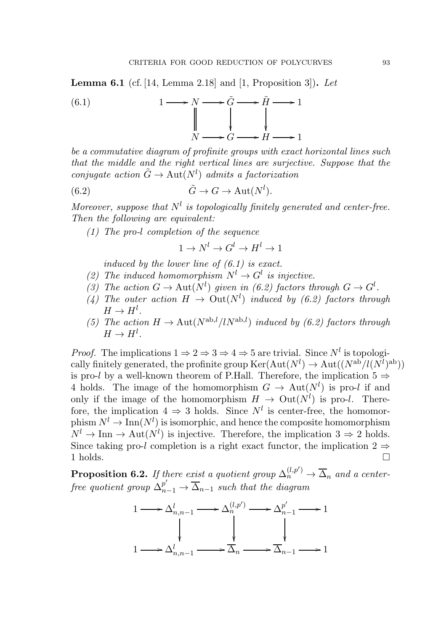**Lemma 6.1** (cf. [14, Lemma 2.18] and [1, Proposition 3]). Let



be a commutative diagram of profinite groups with exact horizontal lines such that the middle and the right vertical lines are surjective. Suppose that the conjugate action  $\tilde{G} \to \text{Aut}(N^l)$  admits a factorization

(6.2) 
$$
\tilde{G} \to G \to \text{Aut}(N^l).
$$

Moreover, suppose that  $N^l$  is topologically finitely generated and center-free. Then the following are equivalent:

(1) The pro-l completion of the sequence

 $1 \to N^l \to G^l \to H^l \to 1$ 

induced by the lower line of  $(6.1)$  is exact.

- (2) The induced homomorphism  $N^l \to G^l$  is injective.
- (3) The action  $G \to \text{Aut}(N^l)$  given in (6.2) factors through  $G \to G^l$ .
- (4) The outer action  $H \to \text{Out}(N^l)$  induced by (6.2) factors through  $H \to H^l$ .
- (5) The action  $H \to \text{Aut}(N^{\text{ab},l}/lN^{\text{ab},l})$  induced by (6.2) factors through  $H \to H^l$ .

*Proof.* The implications  $1 \Rightarrow 2 \Rightarrow 3 \Rightarrow 4 \Rightarrow 5$  are trivial. Since  $N^l$  is topologically finitely generated, the profinite group  $\mathrm{Ker}(\mathrm{Aut}(N^l) \to \mathrm{Aut}((N^{\mathrm{ab}}/l(N^l)^{\mathrm{ab}}))$ is pro-l by a well-known theorem of P.Hall. Therefore, the implication  $5 \Rightarrow$ 4 holds. The image of the homomorphism  $G \to \text{Aut}(N^l)$  is pro-l if and only if the image of the homomorphism  $H \to \text{Out}(N^l)$  is pro-l. Therefore, the implication  $4 \Rightarrow 3$  holds. Since  $N^l$  is center-free, the homomorphism  $N^l \to \text{Inn}(N^l)$  is isomorphic, and hence the composite homomorphism  $N^l \to \text{Inn} \to \text{Aut}(N^l)$  is injective. Therefore, the implication  $3 \Rightarrow 2$  holds. Since taking pro-l completion is a right exact functor, the implication  $2 \Rightarrow$ 1 holds.

**Proposition 6.2.** If there exist a quotient group  $\Delta_n^{(l,p')} \to \overline{\Delta}_n$  and a centerfree quotient group  $\Delta_{n-1}^{p'} \rightarrow \overline{\Delta}_{n-1}$  such that the diagram

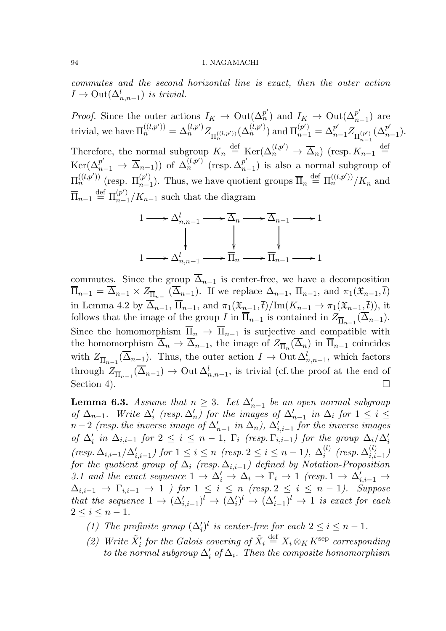commutes and the second horizontal line is exact, then the outer action  $I \to \text{Out}(\Delta^l_{n,n-1})$  is trivial.

*Proof.* Since the outer actions  $I_K \to \text{Out}(\Delta_n^{p'})$  and  $I_K \to \text{Out}(\Delta_n^{p'})$  $_{n-1}^{p}$ ) are trivial, we have  $\Pi_n^{((l,p'))} = \Delta_n^{(l,p')} Z_{\Pi_n^{((l,p'))}}(\Delta_n^{(l,p')})$  and  $\Pi_{n-1}^{(p')} = \Delta_{n-1}^{p'} Z_{\Pi_{n-1}^{(p')}}$  $(\Delta_n^{p'})$  $_{n-1}^{p}$ ). Therefore, the normal subgroup  $K_n \stackrel{\text{def}}{=} \text{Ker}(\Delta_n^{(l,p)}) \to \overline{\Delta}_n$ ) (resp.  $K_{n-1} \stackrel{\text{def}}{=}$  $\text{Ker}(\Delta_{n-1}^{p'} \rightarrow \overline{\Delta}_{n-1})) \text{ of } \Delta_{n}^{(l,p')} \text{ (resp. } \Delta_{n}^{p'}$  $_{n-1}^{p}$ ) is also a normal subgroup of  $\Pi_n^{((l,p'))}$  (resp.  $\Pi_{n-1}^{(p')}$  ${}_{n-1}^{(p')}$ ). Thus, we have quotient groups  $\overline{\Pi}_n \stackrel{\text{def}}{=} \Pi_n^{((l,p'))}/K_n$  and  $\overline{\Pi}_{n-1} \stackrel{\text{def}}{=} \Pi_{n-1}^{(p')}$  $\binom{p}{n-1}$  and the diagram



commutes. Since the group  $\overline{\Delta}_{n-1}$  is center-free, we have a decomposition  $\overline{\Pi}_{n-1} = \overline{\Delta}_{n-1} \times Z_{\overline{\Pi}_{n-1}}(\overline{\Delta}_{n-1}).$  If we replace  $\Delta_{n-1}$ ,  $\Pi_{n-1}$ , and  $\pi_1(\mathfrak{X}_{n-1}, \overline{t})$ in Lemma 4.2 by  $\overline{\Delta}_{n-1}$ ,  $\overline{\Pi}_{n-1}$ , and  $\pi_1(\mathfrak{X}_{n-1},\overline{t})/\text{Im}(K_{n-1}\to \pi_1(\mathfrak{X}_{n-1},\overline{t}))$ , it follows that the image of the group I in  $\Pi_{n-1}$  is contained in  $Z_{\overline{\Pi}_{n-1}}(\Delta_{n-1})$ . Since the homomorphism  $\overline{\Pi}_n \to \overline{\Pi}_{n-1}$  is surjective and compatible with the homomorphism  $\Delta_n \to \Delta_{n-1}$ , the image of  $Z_{\overline{\Pi}_n}(\Delta_n)$  in  $\Pi_{n-1}$  coincides with  $Z_{\overline{\Pi}_{n-1}}(\overline{\Delta}_{n-1})$ . Thus, the outer action  $I \to 0$ ut  $\Delta_{n,n-1}^l$ , which factors through  $Z_{\overline{\Pi}_{n-1}}(\overline{\Delta}_{n-1}) \to \text{Out } \Delta^l_{n,n-1}$ , is trivial (cf. the proof at the end of Section 4).

**Lemma 6.3.** Assume that  $n \geq 3$ . Let  $\Delta'_{n-1}$  be an open normal subgroup of  $\Delta_{n-1}$ . Write  $\Delta'_i$  (resp.  $\Delta'_n$ ) for the images of  $\Delta'_{n-1}$  in  $\Delta_i$  for  $1 \leq i \leq$  $n-2$  (resp. the inverse image of  $\Delta'_{n-1}$  in  $\Delta_n$ ),  $\Delta'_{i,i-1}$  for the inverse images of  $\Delta'_i$  in  $\Delta_{i,i-1}$  for  $2 \leq i \leq n-1$ ,  $\Gamma_i$  (resp.  $\Gamma_{i,i-1}$ ) for the group  $\Delta_i/\Delta'_i$  $(resp. \Delta_{i,i-1}/\Delta'_{i,i-1})$  for  $1 \leq i \leq n$  (resp.  $2 \leq i \leq n-1$ ),  $\Delta_i^{(l)}$  $_{i}^{\left( l\right) }$  (resp.  $\Delta _{i,i}^{\left( l\right) }$  $\binom{i}{i}$ <sub>i,i−1</sub> for the quotient group of  $\Delta_i$  (resp.  $\Delta_{i,i-1}$ ) defined by Notation-Proposition 3.1 and the exact sequence  $1 \to \Delta'_i \to \Delta_i \to \Gamma_i \to 1$  (resp.  $1 \to \Delta'_{i,i-1} \to \Delta'_i$  $\Delta_{i,i-1} \rightarrow \Gamma_{i,i-1} \rightarrow 1$  ) for  $1 \leq i \leq n$  (resp.  $2 \leq i \leq n-1$ ). Suppose that the sequence  $1 \to (\Delta'_{i,i-1})^l \to (\Delta'_i)^l \to (\Delta'_{i-1})^l \to 1$  is exact for each  $2 \leq i \leq n-1$ .

- (1) The profinite group  $(\Delta'_i)^l$  is center-free for each  $2 \leq i \leq n-1$ .
- (2) Write  $\tilde{X}'_i$  for the Galois covering of  $\tilde{X}_i \stackrel{\text{def}}{=} X_i \otimes_K K^{\text{sep}}$  corresponding to the normal subgroup  $\Delta'_i$  of  $\Delta_i$ . Then the composite homomorphism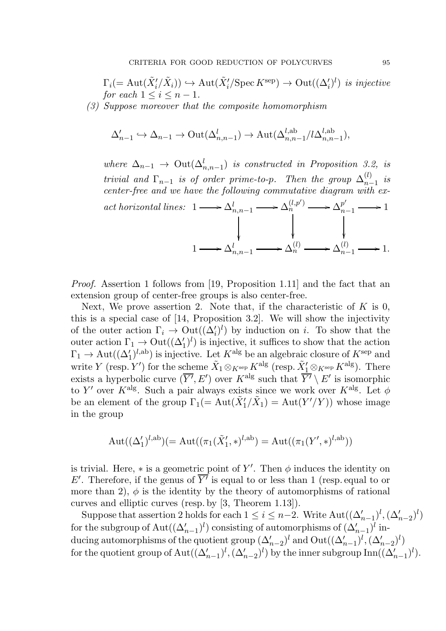$$
\Gamma_i(=\operatorname{Aut}(\tilde{X}'_i/\tilde{X}_i)) \hookrightarrow \operatorname{Aut}(\tilde{X}'_i/\operatorname{Spec} K^{\operatorname{sep}}) \to \operatorname{Out}((\Delta'_i)^l)
$$
 is injective  
for each  $1 \le i \le n-1$ .

(3) Suppose moreover that the composite homomorphism

$$
\Delta'_{n-1} \hookrightarrow \Delta_{n-1} \to \text{Out}(\Delta^l_{n,n-1}) \to \text{Aut}(\Delta^{l,ab}_{n,n-1}/l\Delta^{l,ab}_{n,n-1}),
$$

where  $\Delta_{n-1}$   $\rightarrow$  Out $(\Delta_{n,n-1}^l)$  is constructed in Proposition 3.2, is trivial and  $\Gamma_{n-1}$  is of order prime-to-p. Then the group  $\Delta_{n-1}^{(l)}$  $\sum_{n=1}^{(i)}$  is center-free and we have the following commutative diagram with exact horizontal lines:  $1 \longrightarrow \Delta_{n,n-1}^l \longrightarrow \Delta_n^{(l,p')}$ ł  $\alpha_n^{(l,p')} \longrightarrow \Delta_n^{p'}$ ľ  $\frac{p^r}{n-1}$   $\longrightarrow$  1 ľ 1  $\longrightarrow \Delta_{n,n-1}^l$   $\longrightarrow \Delta_n^{(l)}$  $\lambda_n^{(l)} \longrightarrow \Delta_{n-1}^{(l)}$  $\frac{(l)}{n-1}$   $\longrightarrow$  1.

Proof. Assertion 1 follows from [19, Proposition 1.11] and the fact that an extension group of center-free groups is also center-free.

Next, We prove assertion 2. Note that, if the characteristic of  $K$  is 0, this is a special case of [14, Proposition 3.2]. We will show the injectivity of the outer action  $\Gamma_i \to \text{Out}((\Delta_i')^l)$  by induction on i. To show that the outer action  $\Gamma_1 \to \text{Out}((\Delta'_1)^l)$  is injective, it suffices to show that the action  $\Gamma_1 \to \text{Aut}((\Delta'_1)^{l,\text{ab}})$  is injective. Let  $K^{\text{alg}}$  be an algebraic closure of  $K^{\text{sep}}$  and write Y (resp. Y') for the scheme  $\tilde{X}_1 \otimes_{K^{\text{sep}}} K^{\text{alg}}$  (resp.  $\tilde{X}'_1 \otimes_{K^{\text{sep}}} K^{\text{alg}}$ ). There exists a hyperbolic curve  $(\overline{Y'}, E')$  over  $K^{\text{alg}}$  such that  $\overline{Y'} \setminus E'$  is isomorphic to Y' over K<sup>alg</sup>. Such a pair always exists since we work over K<sup>alg</sup>. Let  $\phi$ be an element of the group  $\Gamma_1 (= \text{Aut}(\tilde{X}_1'/\tilde{X}_1) = \text{Aut}(Y'/Y))$  whose image in the group

$$
\mathrm{Aut}((\Delta_1')^{l,\mathrm{ab}})(=\mathrm{Aut}((\pi_1(\tilde{X}_1',\ast)^{l,\mathrm{ab}})=\mathrm{Aut}((\pi_1(Y',\ast)^{l,\mathrm{ab}}))
$$

is trivial. Here,  $*$  is a geometric point of Y'. Then  $\phi$  induces the identity on E'. Therefore, if the genus of  $\overline{Y'}$  is equal to or less than 1 (resp. equal to or more than 2),  $\phi$  is the identity by the theory of automorphisms of rational curves and elliptic curves (resp. by [3, Theorem 1.13]).

Suppose that assertion 2 holds for each  $1 \leq i \leq n-2$ . Write  $\text{Aut}((\Delta'_{n-1})^l, (\Delta'_{n-2})^l)$ for the subgroup of  $\text{Aut}((\Delta'_{n-1})^l)$  consisting of automorphisms of  $(\Delta'_{n-1})^l$  inducing automorphisms of the quotient group  $(\Delta'_{n-2})^l$  and  $Out((\Delta'_{n-1})^l, (\Delta'_{n-2})^l)$ for the quotient group of  $\text{Aut}((\Delta'_{n-1})^l, (\Delta'_{n-2})^l)$  by the inner subgroup  $\text{Inn}((\Delta'_{n-1})^l)$ .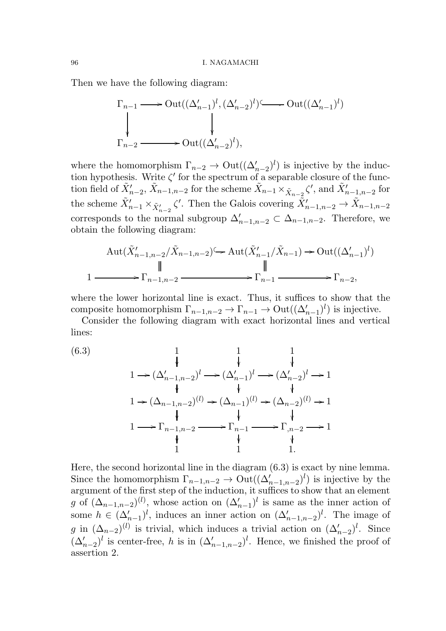Then we have the following diagram:

$$
\Gamma_{n-1} \longrightarrow \text{Out}((\Delta'_{n-1})^l, (\Delta'_{n-2})^l) \longrightarrow \text{Out}((\Delta'_{n-1})^l)
$$
  
\n
$$
\downarrow
$$
\n
$$
\Gamma_{n-2} \longrightarrow \text{Out}((\Delta'_{n-2})^l),
$$

where the homomorphism  $\Gamma_{n-2} \to \text{Out}((\Delta'_{n-2})^l)$  is injective by the induction hypothesis. Write  $\zeta'$  for the spectrum of a separable closure of the function field of  $\tilde{X}'_{n-2}$ ,  $\tilde{X}_{n-1,n-2}$  for the scheme  $\tilde{X}_{n-1} \times_{\tilde{X}_{n-2}} \zeta'$ , and  $\tilde{X}'_{n-1,n-2}$  for the scheme  $\tilde{X}'_{n-1} \times_{\tilde{X}'_{n-2}} \zeta'$ . Then the Galois covering  $\tilde{X}'_{n-1,n-2} \to \tilde{X}_{n-1,n-2}$ corresponds to the normal subgroup  $\Delta'_{n-1,n-2} \subset \Delta_{n-1,n-2}$ . Therefore, we obtain the following diagram:

$$
\operatorname{Aut}(\tilde{X}_{n-1,n-2}'/\tilde{X}_{n-1,n-2}) \longrightarrow \operatorname{Aut}(\tilde{X}_{n-1}'/\tilde{X}_{n-1}) \longrightarrow \operatorname{Out}((\Delta'_{n-1})^l)
$$
\n
$$
\parallel \qquad \qquad \parallel
$$
\n
$$
1 \longrightarrow \Gamma_{n-1,n-2} \longrightarrow \Gamma_{n-1} \longrightarrow \Gamma_{n-2},
$$

where the lower horizontal line is exact. Thus, it suffices to show that the composite homomorphism  $\Gamma_{n-1,n-2} \to \Gamma_{n-1} \to \text{Out}((\Delta'_{n-1})^l)$  is injective.

Consider the following diagram with exact horizontal lines and vertical lines:

(6.3)  
\n
$$
\begin{array}{ccc}\n & 1 & 1 & 1 \\
 & \downarrow & \downarrow & \downarrow \\
1 \rightarrow (\Delta'_{n-1,n-2})^l \rightarrow (\Delta'_{n-1})^l \rightarrow (\Delta'_{n-2})^l \rightarrow 1 \\
 & \downarrow & \downarrow & \downarrow \\
1 \rightarrow (\Delta_{n-1,n-2})^{(l)} \rightarrow (\Delta_{n-1})^{(l)} \rightarrow (\Delta_{n-2})^{(l)} \rightarrow 1 \\
 & \downarrow & \downarrow & \downarrow \\
1 \rightarrow \Gamma_{n-1,n-2} \rightarrow \Gamma_{n-1} \rightarrow \Gamma_{n-2} \rightarrow 1 \\
 & \downarrow & \downarrow & \downarrow \\
1 \quad 1 \quad 1 \quad 1.\n\end{array}
$$

Here, the second horizontal line in the diagram (6.3) is exact by nine lemma. Since the homomorphism  $\Gamma_{n-1,n-2} \to \text{Out}((\Delta'_{n-1,n-2})^l)$  is injective by the argument of the first step of the induction, it suffices to show that an element g of  $(\Delta_{n-1,n-2})^{(l)}$ , whose action on  $(\Delta'_{n-1})^l$  is same as the inner action of some  $h \in (\Delta'_{n-1})^l$ , induces an inner action on  $(\Delta'_{n-1,n-2})^l$ . The image of g in  $(\Delta_{n-2})^{(l)}$  is trivial, which induces a trivial action on  $(\Delta'_{n-2})^l$ . Since  $(\Delta'_{n-2})^l$  is center-free, h is in  $(\Delta'_{n-1,n-2})^l$ . Hence, we finished the proof of assertion 2.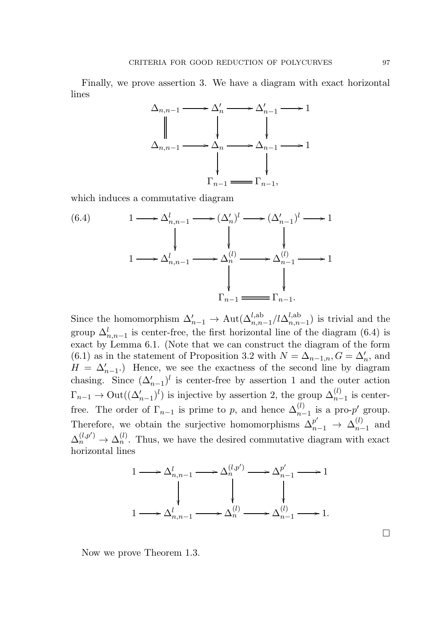Finally, we prove assertion 3. We have a diagram with exact horizontal lines



which induces a commutative diagram

(6.4)  
\n
$$
1 \longrightarrow \Delta_{n,n-1}^{l} \longrightarrow (\Delta_{n}^{l})^{l} \longrightarrow (\Delta_{n-1}^{l})^{l} \longrightarrow 1
$$
\n
$$
1 \longrightarrow \Delta_{n,n-1}^{l} \longrightarrow \Delta_{n}^{(l)} \longrightarrow \Delta_{n-1}^{(l)} \longrightarrow 1
$$
\n
$$
\downarrow \qquad \qquad \downarrow
$$
\n
$$
\Gamma_{n-1} \longrightarrow \Gamma_{n-1}.
$$

Since the homomorphism  $\Delta'_{n-1} \to \text{Aut}(\Delta^{l,ab}_{n,n-1}/l\Delta^{l,ab}_{n,n})$  $\binom{n, n-1}{n, n-1}$  is trivial and the group  $\Delta_{n,n-1}^l$  is center-free, the first horizontal line of the diagram (6.4) is exact by Lemma 6.1. (Note that we can construct the diagram of the form (6.1) as in the statement of Proposition 3.2 with  $N = \Delta_{n-1,n}$ ,  $G = \Delta'_n$ , and  $H = \Delta'_{n-1}$ . Hence, we see the exactness of the second line by diagram chasing. Since  $(\Delta'_{n-1})^l$  is center-free by assertion 1 and the outer action  $\Gamma_{n-1} \to \text{Out}((\Delta_{n-1}')^l)$  is injective by assertion 2, the group  $\Delta_{n-1}^{(l)}$  is centerfree. The order of  $\Gamma_{n-1}$  is prime to p, and hence  $\Delta_{n-1}^{(l)}$  is a pro-p' group. Therefore, we obtain the surjective homomorphisms  $\Delta_{n-1}^{p'} \rightarrow \Delta_{n-1}^{(l)}$  $\binom{u}{n-1}$  and  $\Delta_n^{(l,p')} \to \Delta_n^{(l)}$ . Thus, we have the desired commutative diagram with exact horizontal lines

$$
1 \longrightarrow \Delta^l_{n,n-1} \longrightarrow \Delta^{(l,p')}_{n} \longrightarrow \Delta^{p'}_{n-1} \longrightarrow 1
$$
  
\n
$$
\downarrow \qquad \qquad \downarrow \qquad \qquad \downarrow
$$
  
\n
$$
1 \longrightarrow \Delta^l_{n,n-1} \longrightarrow \Delta^{(l)}_{n} \longrightarrow \Delta^{(l)}_{n-1} \longrightarrow 1.
$$

Now we prove Theorem 1.3.

 $\Box$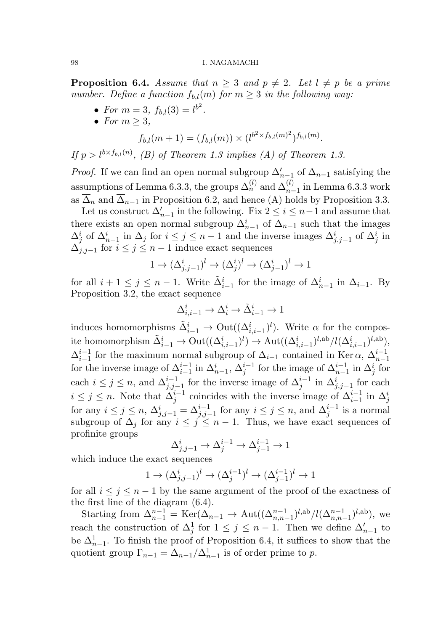**Proposition 6.4.** Assume that  $n \geq 3$  and  $p \neq 2$ . Let  $l \neq p$  be a prime number. Define a function  $f_{b,l}(m)$  for  $m \geq 3$  in the following way:

- For  $m = 3$ ,  $f_{b,l}(3) = l^{b^2}$ .
- For  $m \geq 3$ ,

$$
f_{b,l}(m+1) = (f_{b,l}(m)) \times (l^{b^2 \times f_{b,l}(m)^2})^{f_{b,l}(m)}.
$$

If  $p > l^{b \times f_{b,l}(n)}$ , (B) of Theorem 1.3 implies (A) of Theorem 1.3.

*Proof.* If we can find an open normal subgroup  $\Delta'_{n-1}$  of  $\Delta_{n-1}$  satisfying the assumptions of Lemma 6.3.3, the groups  $\Delta_n^{(l)}$  and  $\Delta_{n-1}^{(l)}$  in Lemma 6.3.3 work as  $\overline{\Delta}_n$  and  $\overline{\Delta}_{n-1}$  in Proposition 6.2, and hence (A) holds by Proposition 3.3.

Let us construct  $\Delta'_{n-1}$  in the following. Fix  $2 \leq i \leq n-1$  and assume that there exists an open normal subgroup  $\Delta_{n-1}^i$  of  $\Delta_{n-1}$  such that the images  $\Delta_j^i$  of  $\Delta_{n-1}^i$  in  $\Delta_j$  for  $i \leq j \leq n-1$  and the inverse images  $\Delta_{j,j-1}^i$  of  $\Delta_j^i$  in  $\Delta_{i,j-1}$  for  $i \leq j \leq n-1$  induce exact sequences

$$
1 \to (\Delta^i_{j,j-1})^l \to (\Delta^i_j)^l \to (\Delta^i_{j-1})^l \to 1
$$

for all  $i + 1 \leq j \leq n - 1$ . Write  $\tilde{\Delta}_{i-1}^i$  for the image of  $\Delta_{n-1}^i$  in  $\Delta_{i-1}$ . By Proposition 3.2, the exact sequence

$$
\Delta_{i,i-1}^i \to \Delta_i^i \to \tilde{\Delta}_{i-1}^i \to 1
$$

induces homomorphisms  $\tilde{\Delta}_{i-1}^i \rightarrow \text{Out}((\Delta_{i,i-1}^i)^l)$ . Write  $\alpha$  for the composite homomorphism  $\tilde{\Delta}_{i-1}^i \to \mathrm{Out}((\Delta_{i,i-1}^i)^l) \to \mathrm{Aut}((\Delta_{i,i-1}^i)^{l,\mathrm{ab}}/l(\Delta_{i,i-1}^i)^{l,\mathrm{ab}}),$  $\Delta^{i-1}_{i-1}$  $i-1 \atop i-1$  for the maximum normal subgroup of  $\Delta_{i-1}$  contained in Ker  $\alpha$ ,  $\Delta_{n-1}^{i-1}$ for the inverse image of  $\Delta_{i-1}^{i-1}$  in  $\Delta_{n-1}^i$ ,  $\Delta_j^{i-1}$  for the image of  $\Delta_{n-1}^{i-1}$  in  $\Delta_j^i$  for each  $i \leq j \leq n$ , and  $\Delta_{j,j-1}^{i-1}$  for the inverse image of  $\Delta_j^{i-1}$  in  $\Delta_{j,j-1}^{i}$  for each  $i \leq j \leq n$ . Note that  $\Delta_j^{i-1}$  coincides with the inverse image of  $\Delta_{i-1}^{i-1}$  in  $\Delta_j^i$ for any  $i \leq j \leq n$ ,  $\Delta^i_{j,j-1} = \Delta^{i-1}_{j,j-1}$  for any  $i \leq j \leq n$ , and  $\Delta^{i-1}_j$  is a normal subgroup of  $\Delta_j$  for any  $i \leq j \leq n-1$ . Thus, we have exact sequences of profinite groups

$$
\Delta^i_{j,j-1} \to \Delta^{i-1}_j \to \Delta^{i-1}_{j-1} \to 1
$$

which induce the exact sequences

$$
1 \to (\Delta^i_{j,j-1})^l \to (\Delta^{i-1}_j)^l \to (\Delta^{i-1}_{j-1})^l \to 1
$$

for all  $i \leq j \leq n-1$  by the same argument of the proof of the exactness of the first line of the diagram (6.4).

Starting from  $\Delta_{n-1}^{n-1} = \text{Ker}(\Delta_{n-1} \to \text{Aut}((\Delta_{n,n-1}^{n-1})^{l,ab}/l(\Delta_{n,n-1}^{n-1})^{l,ab}),$  we reach the construction of  $\Delta_j^1$  for  $1 \leq j \leq n-1$ . Then we define  $\Delta'_{n-1}$  to be  $\Delta_{n-1}^1$ . To finish the proof of Proposition 6.4, it suffices to show that the quotient group  $\Gamma_{n-1} = \Delta_{n-1}/\Delta_{n-1}^1$  is of order prime to p.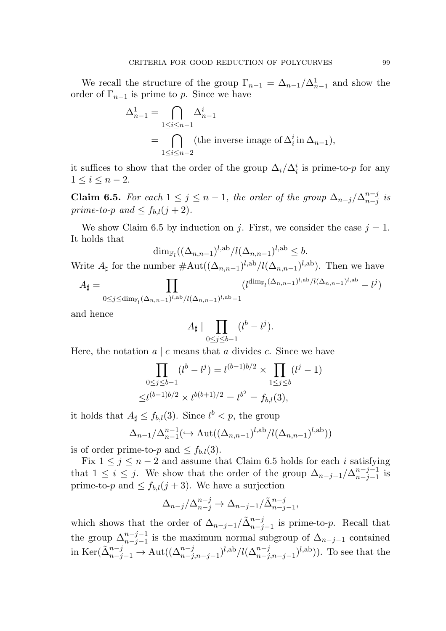We recall the structure of the group  $\Gamma_{n-1} = \Delta_{n-1}/\Delta_{n-1}^1$  and show the order of  $\Gamma_{n-1}$  is prime to p. Since we have

$$
\Delta_{n-1}^1 = \bigcap_{1 \le i \le n-1} \Delta_{n-1}^i
$$
  
= 
$$
\bigcap_{1 \le i \le n-2} (\text{the inverse image of } \Delta_i^i \text{ in } \Delta_{n-1}),
$$

it suffices to show that the order of the group  $\Delta_i/\Delta_i^i$  is prime-to-p for any  $1 \leq i \leq n-2$ .

**Claim 6.5.** For each  $1 \leq j \leq n-1$ , the order of the group  $\Delta_{n-j}/\Delta_{n-j}^{n-j}$  $\frac{n-j}{n-j}$  is prime-to-p and  $\leq f_{b,l}(j+2)$ .

We show Claim 6.5 by induction on j. First, we consider the case  $j = 1$ . It holds that

$$
\dim_{\mathbb{F}_l}((\Delta_{n,n-1})^{l,\mathrm{ab}}/l(\Delta_{n,n-1})^{l,\mathrm{ab}} \leq b.
$$

Write  $A_{\sharp}$  for the number  $\#\text{Aut}((\Delta_{n,n-1})^{l,\text{ab}}/l(\Delta_{n,n-1})^{l,\text{ab}})$ . Then we have

$$
A_{\sharp} = \prod_{0 \leq j \leq \dim_{\mathbb{F}_l}(\Delta_{n,n-1})^{l,\mathrm{ab}}/l(\Delta_{n,n-1})^{l,\mathrm{ab}} - 1} (l^{\dim_{\mathbb{F}_l}(\Delta_{n,n-1})^{l,\mathrm{ab}}/l(\Delta_{n,n-1})^{l,\mathrm{ab}}} - l^j)
$$

and hence

$$
A_{\sharp} \mid \prod_{0 \le j \le b-1} (l^{b} - l^{j}).
$$

Here, the notation  $a \mid c$  means that a divides c. Since we have

$$
\prod_{0 \le j \le b-1} (l^b - l^j) = l^{(b-1)b/2} \times \prod_{1 \le j \le b} (l^j - 1)
$$
  

$$
\le l^{(b-1)b/2} \times l^{b(b+1)/2} = l^{b^2} = f_{b,l}(3),
$$

it holds that  $A_{\sharp} \leq f_{b,l}(3)$ . Since  $l^{b} < p$ , the group

$$
\Delta_{n-1}/\Delta_{n-1}^{n-1}(\hookrightarrow \operatorname{Aut}((\Delta_{n,n-1})^{l,\operatorname{ab}}/l(\Delta_{n,n-1})^{l,\operatorname{ab}}))
$$

is of order prime-to-p and  $\leq f_{b,l}(3)$ .

Fix  $1 \leq j \leq n-2$  and assume that Claim 6.5 holds for each i satisfying that  $1 \leq i \leq j$ . We show that the order of the group  $\Delta_{n-j-1}/\Delta_{n-j-1}^{n-j-1}$  $_{n-j-1}^{n-j-1}$  is prime-to-p and  $\leq f_{b,l}(j+3)$ . We have a surjection

$$
\Delta_{n-j}/\Delta_{n-j}^{n-j} \to \Delta_{n-j-1}/\tilde{\Delta}_{n-j-1}^{n-j},
$$

which shows that the order of  $\Delta_{n-j-1}/\tilde{\Delta}_{n-j-1}^{n-j}$  is prime-to-p. Recall that the group  $\Delta_{n-j-1}^{n-j-1}$  is the maximum normal subgroup of  $\Delta_{n-j-1}$  contained in  $\text{Ker}(\tilde{\Delta}_{n-j-1}^{n-j} \to \text{Aut}((\Delta_{n-j,n-j-1}^{n-j})^{l,\text{ab}}/l(\Delta_{n-j,n-j-1}^{n-j})^{l,\text{ab}})).$  To see that the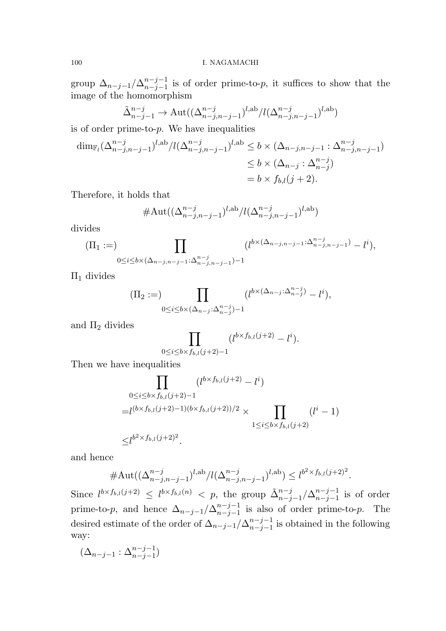group  $\Delta_{n-j-1}/\Delta_{n-j-1}^{n-j-1}$  $n-j-1 \n= (n-j-1)$  is of order prime-to-p, it suffices to show that the image of the homomorphism

$$
\tilde{\Delta}_{n-j-1}^{n-j} \to \text{Aut}((\Delta_{n-j,n-j-1}^{n-j})^{l,\text{ab}}/l(\Delta_{n-j,n-j-1}^{n-j})^{l,\text{ab}})
$$

is of order prime-to- $p$ . We have inequalities

$$
\dim_{\mathbb{F}_l}(\Delta^{n-j}_{n-j,n-j-1})^{l,ab}/l(\Delta^{n-j}_{n-j,n-j-1})^{l,ab} \leq b \times (\Delta_{n-j,n-j-1} : \Delta^{n-j}_{n-j,n-j-1})
$$
  
\n
$$
\leq b \times (\Delta_{n-j} : \Delta^{n-j}_{n-j})
$$
  
\n
$$
= b \times f_{b,l}(j+2).
$$

Therefore, it holds that

#Aut
$$
((\Delta_{n-j,n-j-1}^{n-j})^{l,ab}/l(\Delta_{n-j,n-j-1}^{n-j})^{l,ab})
$$

divides

$$
(\Pi_1 :=) \prod_{0 \le i \le b \times (\Delta_{n-j,n-j-1} : \Delta_{n-j,n-j-1}^{n-j})-1} (l^{b \times (\Delta_{n-j,n-j-1} : \Delta_{n-j,n-j-1}^{n-j})} - l^i),
$$

 $\Pi_1$  divides

$$
(\Pi_2:=)\prod_{0\leq i\leq b\times(\Delta_{n-j}:\Delta_{n-j}^{n-j})-1}(l^{b\times(\Delta_{n-j}:\Delta_{n-j}^{n-j})}-l^i),
$$

and  $\Pi_2$  divides

$$
\prod_{0 \le i \le b \times f_{b,l}(j+2)-1} (l^{b \times f_{b,l}(j+2)} - l^i).
$$

Then we have inequalities

$$
\prod_{\substack{0 \le i \le b \times f_{b,l}(j+2)-1 \\=l^{(b \times f_{b,l}(j+2)-1)(b \times f_{b,l}(j+2))/2}}}\n(l^{b \times f_{b,l}(j+2)-1} \times \prod_{1 \le i \le b \times f_{b,l}(j+2)}\n(l^{i}-1)\n\le l^{b^{2} \times f_{b,l}(j+2)^{2}}.
$$

and hence

$$
\# \mathrm{Aut}((\Delta^{n-j}_{n-j,n-j-1})^{l,\mathrm{ab}}/l(\Delta^{n-j}_{n-j,n-j-1})^{l,\mathrm{ab}}) \le l^{b^2 \times f_{b,l}(j+2)^2}.
$$

Since  $l^{b \times f_{b,l}(j+2)} \leq l^{b \times f_{b,l}(n)} < p$ , the group  $\tilde{\Delta}_{n-j-1}^{n-j}/\Delta_{n-j-1}^{n-j-1}$  $_{n-j-1}^{n-j-1}$  is of order prime-to-p, and hence  $\Delta_{n-j-1}/\Delta_{n-j-1}^{n-j-1}$  $_{n-j-1}^{n-j-1}$  is also of order prime-to-p. The desired estimate of the order of  $\Delta_{n-j-1}/\Delta_{n-j-1}^{n-j-1}$  $_{n-j-1}^{n-j-1}$  is obtained in the following way:

$$
(\Delta_{n-j-1}:\Delta_{n-j-1}^{n-j-1})
$$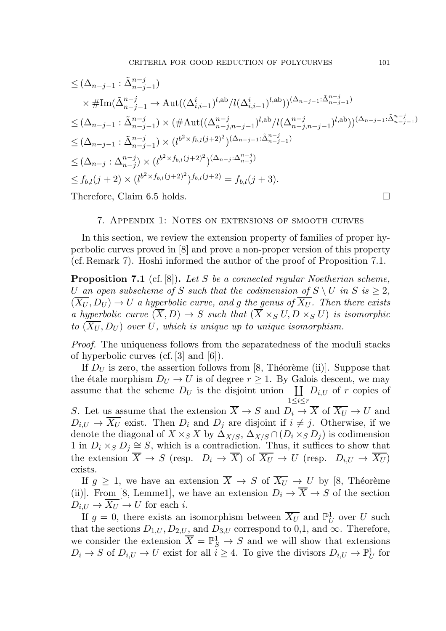$$
\leq (\Delta_{n-j-1} : \tilde{\Delta}_{n-j-1}^{n-j})
$$
  
\n
$$
\times \# \text{Im}(\tilde{\Delta}_{n-j-1}^{n-j} \to \text{Aut}((\Delta_{i,i-1}^{i})^{l,ab}/l(\Delta_{i,i-1}^{i})^{l,ab}))^{(\Delta_{n-j-1}:\tilde{\Delta}_{n-j-1}^{n-j})}
$$
  
\n
$$
\leq (\Delta_{n-j-1} : \tilde{\Delta}_{n-j-1}^{n-j}) \times (\# \text{Aut}((\Delta_{n-j,n-j-1}^{n-j})^{l,ab}/l(\Delta_{n-j,n-j-1}^{n-j})^{l,ab}))^{(\Delta_{n-j-1}:\tilde{\Delta}_{n-j-1}^{n-j})}
$$
  
\n
$$
\leq (\Delta_{n-j-1} : \tilde{\Delta}_{n-j-1}^{n-j}) \times (l^{b^2 \times f_{b,l}(j+2)^2})^{(\Delta_{n-j-1}:\tilde{\Delta}_{n-j-1}^{n-j})}
$$
  
\n
$$
\leq (\Delta_{n-j} : \Delta_{n-j}^{n-j}) \times (l^{b^2 \times f_{b,l}(j+2)^2})^{(\Delta_{n-j}:\Delta_{n-j}^{n-j})}
$$
  
\n
$$
\leq f_{b,l}(j+2) \times (l^{b^2 \times f_{b,l}(j+2)^2})^{f_{b,l}(j+2)} = f_{b,l}(j+3).
$$
  
\nTherefore, Claim 6.5 holds.

#### 7. Appendix 1: Notes on extensions of smooth curves

In this section, we review the extension property of families of proper hyperbolic curves proved in [8] and prove a non-proper version of this property (cf. Remark 7). Hoshi informed the author of the proof of Proposition 7.1.

**Proposition 7.1** (cf. [8]). Let S be a connected regular Noetherian scheme, U an open subscheme of S such that the codimension of  $S \setminus U$  in  $S$  is  $> 2$ ,  $(\overline{X_U}, D_U) \rightarrow U$  a hyperbolic curve, and g the genus of  $\overline{X_U}$ . Then there exists a hyperbolic curve  $(\overline{X}, D) \to S$  such that  $(\overline{X} \times_S U, D \times_S U)$  is isomorphic to  $(\overline{X_{U}}, D_{U})$  over U, which is unique up to unique isomorphism.

Proof. The uniqueness follows from the separatedness of the moduli stacks of hyperbolic curves (cf. [3] and [6]).

If  $D_U$  is zero, the assertion follows from [8, Théorème (ii)]. Suppose that the étale morphism  $D_U \to U$  is of degree  $r \geq 1$ . By Galois descent, we may assume that the scheme  $D_U$  is the disjoint union  $\coprod D_{i,U}$  of r copies of  $1\leq i \leq r$ 

S. Let us assume that the extension  $\overline{X} \to S$  and  $D_i \to \overline{X}$  of  $\overline{X_U} \to U$  and  $D_{i,U} \rightarrow \overline{X_{U}}$  exist. Then  $D_{i}$  and  $D_{j}$  are disjoint if  $i \neq j$ . Otherwise, if we denote the diagonal of  $X \times_S X$  by  $\Delta_{X/S}, \Delta_{X/S} \cap (D_i \times_S D_j)$  is codimension 1 in  $D_i \times_S D_j \cong S$ , which is a contradiction. Thus, it suffices to show that the extension  $\overline{X} \to S$  (resp.  $D_i \to \overline{X}$ ) of  $\overline{X_U} \to U$  (resp.  $D_{i,U} \to \overline{X_U}$ ) exists.

If  $g \geq 1$ , we have an extension  $\overline{X} \to S$  of  $\overline{X_U} \to U$  by [8, Théorème (ii)]. From [8, Lemme1], we have an extension  $D_i \to \overline{X} \to S$  of the section  $D_{i,U} \to \overline{X_{U}} \to U$  for each i.

If  $g = 0$ , there exists an isomorphism between  $\overline{X_U}$  and  $\mathbb{P}^1_U$  $_U^1$  over U such that the sections  $D_{1,U}, D_{2,U}$ , and  $D_{3,U}$  correspond to 0,1, and  $\infty$ . Therefore, we consider the extension  $\overline{X} = \mathbb{P}_{S}^{1} \to S$  and we will show that extensions  $D_i \to S$  of  $D_{i,U} \to U$  exist for all  $i \geq 4$ . To give the divisors  $D_{i,U} \to \mathbb{P}^1_U$  $_U^{\perp}$  for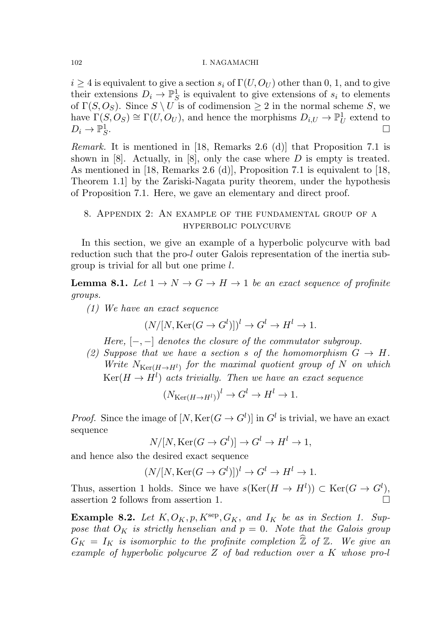$i \geq 4$  is equivalent to give a section  $s_i$  of  $\Gamma(U, O_U)$  other than 0, 1, and to give their extensions  $D_i \to \mathbb{P}^1_S$  $\frac{1}{S}$  is equivalent to give extensions of  $s_i$  to elements of  $\Gamma(S, O_S)$ . Since  $S \setminus U$  is of codimension  $\geq 2$  in the normal scheme S, we have  $\Gamma(S, O_S) \cong \Gamma(U, O_U)$ , and hence the morphisms  $D_{i,U} \to \mathbb{P}^1_U$  $\frac{1}{U}$  extend to  $D_i\to \mathbb{P}^1_S$ S .

Remark. It is mentioned in [18, Remarks 2.6 (d)] that Proposition 7.1 is shown in [8]. Actually, in [8], only the case where  $D$  is empty is treated. As mentioned in [18, Remarks 2.6 (d)], Proposition 7.1 is equivalent to [18, Theorem 1.1] by the Zariski-Nagata purity theorem, under the hypothesis of Proposition 7.1. Here, we gave an elementary and direct proof.

# 8. Appendix 2: An example of the fundamental group of a hyperbolic polycurve

In this section, we give an example of a hyperbolic polycurve with bad reduction such that the pro-l outer Galois representation of the inertia subgroup is trivial for all but one prime l.

**Lemma 8.1.** Let  $1 \rightarrow N \rightarrow G \rightarrow H \rightarrow 1$  be an exact sequence of profinite groups.

(1) We have an exact sequence

$$
(N/[N, \text{Ker}(G \to G^l)])^l \to G^l \to H^l \to 1.
$$

Here,  $[-,-]$  denotes the closure of the commutator subgroup.

(2) Suppose that we have a section s of the homomorphism  $G \to H$ . Write  $N_{\text{Ker}(H\to H^l)}$  for the maximal quotient group of N on which  $\mathrm{Ker}(H\to H^l)$  acts trivially. Then we have an exact sequence

$$
(N_{\text{Ker}(H \to H^l)})^l \to G^l \to H^l \to 1.
$$

*Proof.* Since the image of  $[N, \text{Ker}(G \to G^l)]$  in  $G^l$  is trivial, we have an exact sequence

$$
N/[N, \text{Ker}(G \to G^l)] \to G^l \to H^l \to 1,
$$

and hence also the desired exact sequence

$$
(N/[N, \text{Ker}(G \to G^l)])^l \to G^l \to H^l \to 1.
$$

Thus, assertion 1 holds. Since we have  $s(\text{Ker}(H \to H^l)) \subset \text{Ker}(G \to G^l)$ , assertion 2 follows from assertion 1.  $\Box$ 

Example 8.2. Let  $K, O_K, p, K^{\text{sep}}, G_K,$  and  $I_K$  be as in Section 1. Suppose that  $O_K$  is strictly henselian and  $p = 0$ . Note that the Galois group  $G_K = I_K$  is isomorphic to the profinite completion  $\widehat{\mathbb{Z}}$  of  $\mathbb{Z}$ . We give an example of hyperbolic polycurve Z of bad reduction over a K whose pro-l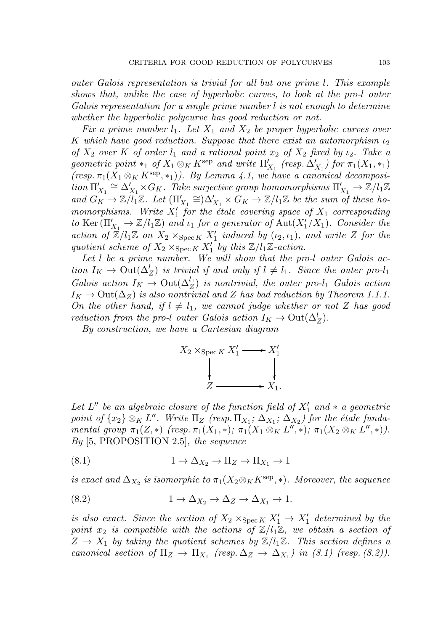outer Galois representation is trivial for all but one prime l. This example shows that, unlike the case of hyperbolic curves, to look at the pro-l outer Galois representation for a single prime number l is not enough to determine whether the hyperbolic polycurve has good reduction or not.

Fix a prime number  $l_1$ . Let  $X_1$  and  $X_2$  be proper hyperbolic curves over K which have good reduction. Suppose that there exist an automorphism  $\iota_2$ of  $X_2$  over K of order  $l_1$  and a rational point  $x_2$  of  $X_2$  fixed by  $\iota_2$ . Take a geometric point \*1 of  $X_1 \otimes_K K^{\text{sep}}$  and write  $\Pi'_{X_1}$  (resp.  $\Delta'_{X_1}$ ) for  $\pi_1(X_1, *_1)$  $(resp. \pi_1(X_1 \otimes_K K^{\text{sep}}, *)$ ). By Lemma 4.1, we have a canonical decomposi- $\varlimsup_{X_1} \cong \Delta'_{X_1} \times G_K$ . Take surjective group homomorphisms  $\Pi'_{X_1} \to \mathbb{Z}/l_1\mathbb{Z}$ and  $G_K \to \mathbb{Z}/l_1^2\mathbb{Z}$ . Let  $(\Pi'_{X_1} \cong) \Delta'_{X_1} \times G_K \to \mathbb{Z}/l_1\mathbb{Z}$  be the sum of these homomorphisms. Write  $X'_1$  for the étale covering space of  $X_1$  corresponding to Ker  $(\Pi'_{X_1} \to \mathbb{Z}/l_1\mathbb{Z})$  and  $\iota_1$  for a generator of  $\text{Aut}(X'_1/X_1)$ . Consider the action of  $\mathbb{Z}/l_1\mathbb{Z}$  on  $X_2 \times_{\operatorname{Spec} K} X'_1$  induced by  $(\iota_2, \iota_1)$ , and write Z for the quotient scheme of  $X_2 \times_{\operatorname{Spec} K} X'_1$  by this  $\mathbb{Z}/l_1\mathbb{Z}$ -action.

Let l be a prime number. We will show that the pro-l outer Galois action  $I_K \to \text{Out}(\Delta_Z^l)$  is trivial if and only if  $l \neq l_1$ . Since the outer pro- $l_1$ Galois action  $I_K \to \text{Out}(\Delta_Z^{l_1})$  is nontrivial, the outer pro-l<sub>1</sub> Galois action  $I_K \to \text{Out}(\Delta_Z)$  is also nontrivial and Z has bad reduction by Theorem 1.1.1. On the other hand, if  $l \neq l_1$ , we cannot judge whether or not Z has good reduction from the pro-l outer Galois action  $I_K \to \text{Out}(\Delta_Z^l)$ .

By construction, we have a Cartesian diagram

$$
X_2 \times_{\operatorname{Spec} K} X'_1 \longrightarrow X'_1
$$
  
\n
$$
\downarrow \qquad \qquad \downarrow
$$
  
\n
$$
Z \longrightarrow X_1.
$$

Let  $L''$  be an algebraic closure of the function field of  $X'_1$  and  $*$  a geometric point of  $\{x_2\} \otimes_K L''$ . Write  $\Pi_Z$  (resp.  $\Pi_{X_1}$ ;  $\Delta_{X_1}$ ;  $\Delta_{X_2}$ ) for the étale fundamental group  $\pi_1(Z,*)$  (resp.  $\pi_1(X_1,*)$ ;  $\pi_1(X_1 \otimes_K L'',*)$ ;  $\pi_1(X_2 \otimes_K L'',*)$ ).  $By$  [5, PROPOSITION 2.5], the sequence

(8.1) 
$$
1 \to \Delta_{X_2} \to \Pi_Z \to \Pi_{X_1} \to 1
$$

is exact and  $\Delta_{X_2}$  is isomorphic to  $\pi_1(X_2\otimes_K K^{\rm sep}, *)$ . Moreover, the sequence

(8.2) 
$$
1 \to \Delta_{X_2} \to \Delta_Z \to \Delta_{X_1} \to 1.
$$

is also exact. Since the section of  $X_2 \times_{\operatorname{Spec} K} X'_1 \to X'_1$  determined by the point  $x_2$  is compatible with the actions of  $\mathbb{Z}/l_1\mathbb{Z}$ , we obtain a section of  $Z \rightarrow X_1$  by taking the quotient schemes by  $\mathbb{Z}/l_1\mathbb{Z}$ . This section defines a canonical section of  $\Pi_Z \to \Pi_{X_1}$  (resp.  $\Delta_Z \to \Delta_{X_1}$ ) in (8.1) (resp. (8.2)).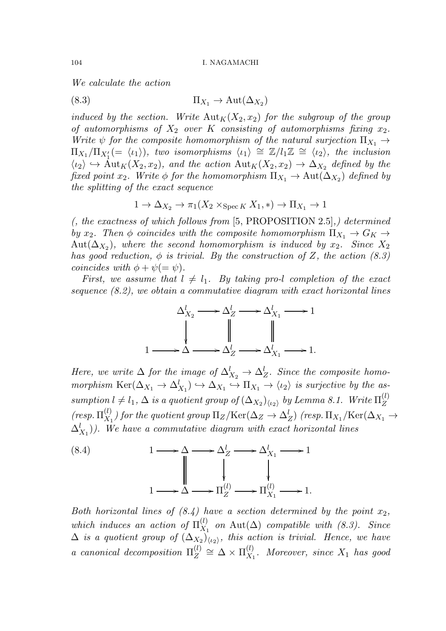We calculate the action

(8.3)  $\Pi_{X_1} \to \text{Aut}(\Delta_{X_2})$ 

induced by the section. Write  ${\rm Aut}_K(X_2, x_2)$  for the subgroup of the group of automorphisms of  $X_2$  over K consisting of automorphisms fixing  $x_2$ . Write  $\psi$  for the composite homomorphism of the natural surjection  $\Pi_{X_1} \to$  $\Pi_{X_1}/\Pi_{X'_1} (=\langle \iota_1 \rangle),$  two isomorphisms  $\langle \iota_1 \rangle \cong \mathbb{Z}/l_1\mathbb{Z} \cong \langle \iota_2 \rangle$ , the inclusion  $\langle \iota_2 \rangle \hookrightarrow \text{Aut}_K(X_2, x_2)$ , and the action  $\text{Aut}_K(X_2, x_2) \to \Delta_{X_2}$  defined by the fixed point  $x_2$ . Write  $\phi$  for the homomorphism  $\Pi_{X_1} \to \text{Aut}(\Delta_{X_2})$  defined by the splitting of the exact sequence

$$
1 \to \Delta_{X_2} \to \pi_1(X_2 \times_{\operatorname{Spec} K} X_1, *) \to \Pi_{X_1} \to 1
$$

(, the exactness of which follows from [5, PROPOSITION 2.5],) determined by  $x_2$ . Then  $\phi$  coincides with the composite homomorphism  $\Pi_{X_1} \to G_K \to$  $\mathrm{Aut}(\Delta_{X_2}),$  where the second homomorphism is induced by  $x_2$ . Since  $X_2$ has good reduction,  $\phi$  is trivial. By the construction of Z, the action (8.3) coincides with  $\phi + \psi (= \psi)$ .

First, we assume that  $l \neq l_1$ . By taking pro-l completion of the exact sequence (8.2), we obtain a commutative diagram with exact horizontal lines



Here, we write  $\Delta$  for the image of  $\Delta_{X_2}^l \rightarrow \Delta_Z^l$ . Since the composite homomorphism  $\text{Ker}(\Delta_{X_1} \to \Delta_{X_1}^l) \to \Delta_{X_1} \to \Pi_{X_1} \to \langle \iota_2 \rangle$  is surjective by the assumption  $l \neq l_1, \Delta$  is a quotient group of  $(\Delta_{X_2})_{\langle \iota_2 \rangle}$  by Lemma 8.1. Write  $\Pi_Z^{(l)}$ Z  $(resp.\Pi_{X_1}^{(l)}$  $\chi^{(l)}_{X_1}$ ) for the quotient group  $\Pi_Z/\mathrm{Ker}(\Delta_Z\to \Delta_Z^l)$  (resp.  $\Pi_{X_1}/\mathrm{Ker}(\Delta_{X_1}\to \Delta_Z^l)$  $(\Delta_{X_1}^l)$ ). We have a commutative diagram with exact horizontal lines



Both horizontal lines of  $(8.4)$  have a section determined by the point  $x_2$ , which induces an action of  $\Pi_{X_1}^{(l)}$  $X_1^{(i)}$  on  $\text{Aut}(\Delta)$  compatible with  $(8.3)$ . Since  $\Delta$  is a quotient group of  $(\Delta_{X_2})_{\langle \iota_2 \rangle}$ , this action is trivial. Hence, we have a canonical decomposition  $\Pi_Z^{(l)}$  $\mathcal{L}^{(l)}\cong \Delta\times \Pi^{(l)}_{X_1}$  $X_1^{\{t\}}$ . Moreover, since  $X_1$  has good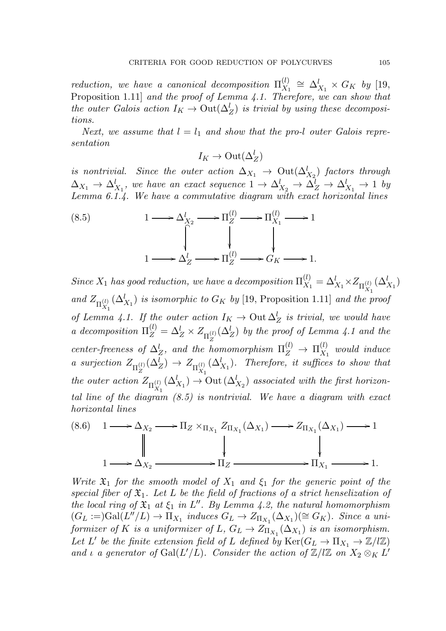reduction, we have a canonical decomposition  $\Pi_{X_1}^{(l)}$  $\chi_1^{(l)} \cong \Delta_{X_1}^l \times G_K$  by [19, Proposition 1.11] and the proof of Lemma 4.1. Therefore, we can show that the outer Galois action  $I_K \to \text{Out}(\Delta_Z^l)$  is trivial by using these decompositions.

Next, we assume that  $l = l_1$  and show that the pro-l outer Galois representation

$$
I_K \to \mathrm{Out}(\Delta_Z^l)
$$

is nontrivial. Since the outer action  $\Delta_{X_1}$   $\rightarrow$   $\mathrm{Out}(\Delta_{X_2}^l)$  factors through  $\Delta_{X_1} \to \Delta_{X_1}^l$ , we have an exact sequence  $1 \to \Delta_{X_2}^l \to \Delta_Z^l \to \Delta_{X_1}^l \to 1$  by Lemma 6.1.4. We have a commutative diagram with exact horizontal lines

(8.5) 
$$
1 \longrightarrow \Delta_{X_2}^l \longrightarrow \Pi_Z^{(l)} \longrightarrow \Pi_{X_1}^{(l)} \longrightarrow 1
$$

$$
\downarrow \qquad \qquad \downarrow
$$

$$
1 \longrightarrow \Delta_Z^l \longrightarrow \Pi_Z^{(l)} \longrightarrow G_K \longrightarrow 1.
$$

Since  $X_1$  has good reduction, we have a decomposition  $\Pi_{X_1}^{(l)}$  $\Delta_{X_1}^{(l)} = \Delta_{X_1}^l \times Z_{\Pi_{X_1}^{(l)}}(\Delta_{X_1}^l)$  $x_1$ and  $Z_{\Pi_{X, \alpha}^{(l)}}$  $x_1$  $(\Delta_{X_1}^l)$  is isomorphic to  $G_K$  by [19, Proposition 1.11] and the proof of Lemma 4.1. If the outer action  $I_K \to 0$ ut  $\Delta_Z^l$  is trivial, we would have a decomposition  $\Pi_Z^{(l)} = \Delta_Z^l \times Z_{\Pi_Z^{(l)}}(\Delta_Z^l)$  by the proof of Lemma 4.1 and the Z center-freeness of  $\Delta_Z^l$ , and the homomorphism  $\Pi_Z^{(l)} \to \Pi_{X_1}^{(l)}$  $\mathcal{X}_1^{\left(t\right)}$  would induce a surjection  $Z_{\Pi_Z^{(l)}}$  $\chi_{Z}^{(l)}(\Delta_Z^l) \rightarrow Z_{\Pi_{X_1}^{(l)}}$  $x_1$  $(\Delta_{X_1}^l)$ . Therefore, it suffices to show that the outer action  $Z_{\Pi_{X,\tau}^{(l)}}$  $x_1$  $(\Delta_{X_1}^l) \rightarrow$  Out  $(\Delta_{X_2}^l)$  associated with the first horizontal line of the diagram (8.5) is nontrivial. We have a diagram with exact horizontal lines

$$
(8.6) \quad 1 \longrightarrow \Delta_{X_2} \longrightarrow \Pi_Z \times_{\Pi_{X_1}} Z_{\Pi_{X_1}}(\Delta_{X_1}) \longrightarrow Z_{\Pi_{X_1}}(\Delta_{X_1}) \longrightarrow 1
$$
\n
$$
\downarrow \qquad \qquad \downarrow
$$
\n
$$
1 \longrightarrow \Delta_{X_2} \longrightarrow \Pi_Z \longrightarrow \Pi_Z \longrightarrow 1.
$$

Write  $\mathfrak{X}_1$  for the smooth model of  $X_1$  and  $\xi_1$  for the generic point of the special fiber of  $\mathfrak{X}_1$ . Let L be the field of fractions of a strict henselization of the local ring of  $\mathfrak{X}_1$  at  $\xi_1$  in  $L''$ . By Lemma 4.2, the natural homomorphism  $(G_L :=)Gal(L''/L) \to \Pi_{X_1}$  induces  $G_L \to Z_{\Pi_{X_1}}(\Delta_{X_1}) (\cong G_K)$ . Since a uniformizer of K is a uniformizer of  $L, G_L \rightarrow Z_{\Pi_{X_1}}(\Delta_{X_1})$  is an isomorphism. Let L' be the finite extension field of L defined by  $\text{Ker}(G_L \to \Pi_{X_1} \to \mathbb{Z}/l\mathbb{Z})$ and  $\iota$  a generator of  $Gal(L'/L)$ . Consider the action of  $\mathbb{Z}/l\mathbb{Z}$  on  $X_2 \otimes_K L'$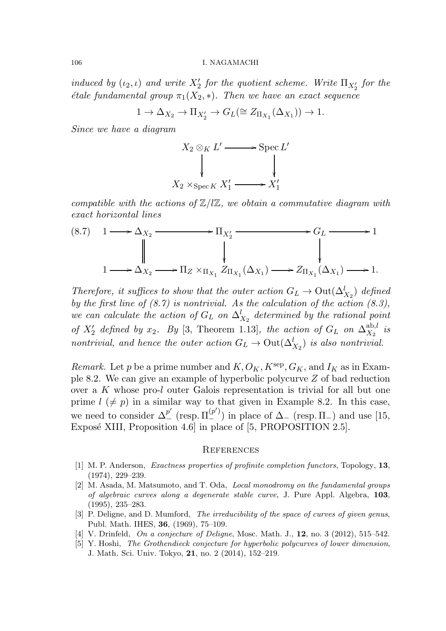induced by  $(\iota_2, \iota)$  and write  $X'_2$  for the quotient scheme. Write  $\Pi_{X'_2}$  for the *étale fundamental group*  $\pi_1(X_2, *)$ . Then we have an exact sequence

$$
1 \to \Delta_{X_2} \to \Pi_{X'_2} \to G_L(\cong Z_{\Pi_{X_1}}(\Delta_{X_1})) \to 1.
$$

Since we have a diagram

$$
X_2 \otimes_K L' \longrightarrow \operatorname{Spec} L'
$$
  

$$
\downarrow \qquad \qquad \downarrow
$$
  

$$
X_2 \times_{\operatorname{Spec} K} X'_1 \longrightarrow X'_1
$$

compatible with the actions of  $\mathbb{Z}/l\mathbb{Z}$ , we obtain a commutative diagram with exact horizontal lines

$$
(8.7) \quad 1 \longrightarrow \Delta_{X_2} \longrightarrow \Pi_{X'_2} \longrightarrow G_L \longrightarrow 1
$$
\n
$$
\downarrow \qquad \qquad \downarrow \qquad \qquad \downarrow
$$
\n
$$
1 \longrightarrow \Delta_{X_2} \longrightarrow \Pi_Z \times_{\Pi_{X_1}} Z_{\Pi_{X_1}}(\Delta_{X_1}) \longrightarrow Z_{\Pi_{X_1}}(\Delta_{X_1}) \longrightarrow 1.
$$

Therefore, it suffices to show that the outer action  $G_L \to \text{Out}(\Delta_{X_2}^l)$  defined by the first line of  $(8.7)$  is nontrivial. As the calculation of the action  $(8.3)$ , we can calculate the action of  $G_L$  on  $\Delta_{X_2}^l$  determined by the rational point of  $X'_2$  defined by  $x_2$ . By [3, Theorem 1.13], the action of  $G_L$  on  $\Delta_{X_2}^{\text{ab},l}$  $\frac{a_{\mathrm{D},l}}{X_2}$  is nontrivial, and hence the outer action  $G_L \to \text{Out}(\Delta_{X_2}^l)$  is also nontrivial.

Remark. Let p be a prime number and  $K, O_K, K^{\text{sep}}, G_K, \text{and } I_K$  as in Example 8.2. We can give an example of hyperbolic polycurve Z of bad reduction over a K whose pro-l outer Galois representation is trivial for all but one prime  $l \neq p$ ) in a similar way to that given in Example 8.2. In this case, we need to consider  $\Delta^{p'}_{-}$  (resp.  $\Pi^{(p')}_{-}$ ) in place of  $\Delta_{-}$  (resp.  $\Pi_{-}$ ) and use [15, Exposé XIII, Proposition 4.6] in place of [5, PROPOSITION 2.5].

#### **REFERENCES**

- [1] M. P. Anderson, Exactness properties of profinite completion functors, Topology, 13, (1974), 229–239.
- [2] M. Asada, M. Matsumoto, and T. Oda, Local monodromy on the fundamental groups of algebraic curves along a degenerate stable curve, J. Pure Appl. Algebra, 103, (1995), 235–283.
- [3] P. Deligne, and D. Mumford, The irreducibility of the space of curves of given genus, Publ. Math. IHES, 36, (1969), 75–109.
- [4] V. Drinfeld, On a conjecture of Deligne, Mosc. Math. J., **12**, no. 3 (2012), 515–542.
- [5] Y. Hoshi, The Grothendieck conjecture for hyperbolic polycurves of lower dimension, J. Math. Sci. Univ. Tokyo, 21, no. 2 (2014), 152–219.